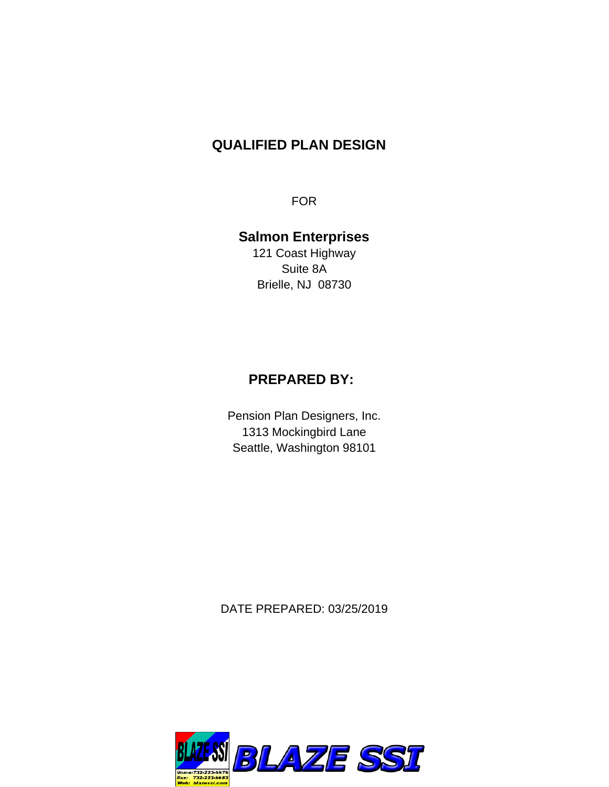# **QUALIFIED PLAN DESIGN**

FOR

# **Salmon Enterprises**

121 Coast Highway Suite 8A Brielle, NJ 08730

# **PREPARED BY:**

Pension Plan Designers, Inc. 1313 Mockingbird Lane Seattle, Washington 98101

DATE PREPARED: 03/25/2019

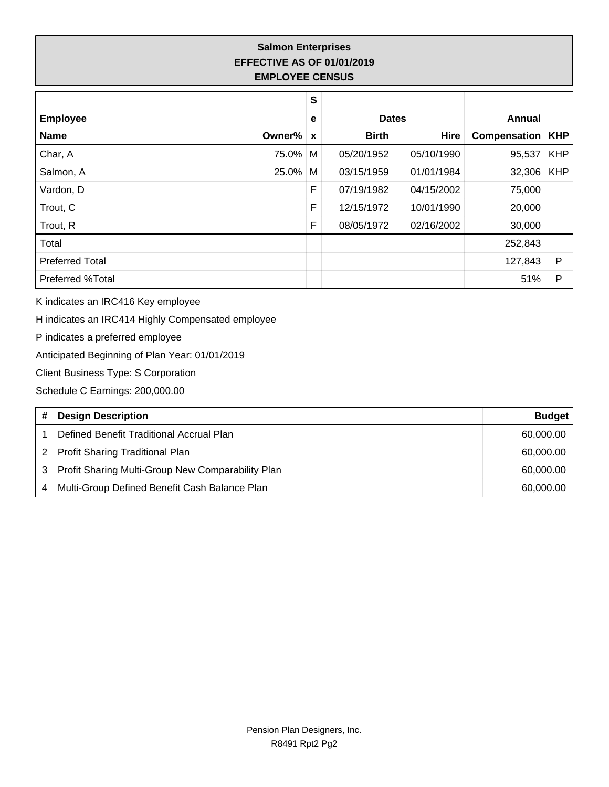## **Salmon Enterprises EFFECTIVE AS OF 01/01/2019 EMPLOYEE CENSUS**

|                        |        | S |              |             |                           |            |
|------------------------|--------|---|--------------|-------------|---------------------------|------------|
| <b>Employee</b>        |        | е | <b>Dates</b> |             | Annual                    |            |
| <b>Name</b>            | Owner% | X | <b>Birth</b> | <b>Hire</b> | <b>Compensation   KHP</b> |            |
| Char, A                | 75.0%  | M | 05/20/1952   | 05/10/1990  | 95,537                    | <b>KHP</b> |
| Salmon, A              | 25.0%  | М | 03/15/1959   | 01/01/1984  | 32,306                    | <b>KHP</b> |
| Vardon, D              |        | F | 07/19/1982   | 04/15/2002  | 75,000                    |            |
| Trout, C               |        | F | 12/15/1972   | 10/01/1990  | 20,000                    |            |
| Trout, R               |        | F | 08/05/1972   | 02/16/2002  | 30,000                    |            |
| Total                  |        |   |              |             | 252,843                   |            |
| <b>Preferred Total</b> |        |   |              |             | 127,843                   | P          |
| Preferred %Total       |        |   |              |             | 51%                       | P          |

K indicates an IRC416 Key employee

H indicates an IRC414 Highly Compensated employee

P indicates a preferred employee

Anticipated Beginning of Plan Year: 01/01/2019

Client Business Type: S Corporation

Schedule C Earnings: 200,000.00

|   | <b>Design Description</b>                         | <b>Budget</b> |
|---|---------------------------------------------------|---------------|
|   | Defined Benefit Traditional Accrual Plan          | 60,000.00     |
|   | <b>Profit Sharing Traditional Plan</b>            | 60,000.00     |
|   | Profit Sharing Multi-Group New Comparability Plan | 60,000.00     |
| 4 | Multi-Group Defined Benefit Cash Balance Plan     | 60,000.00     |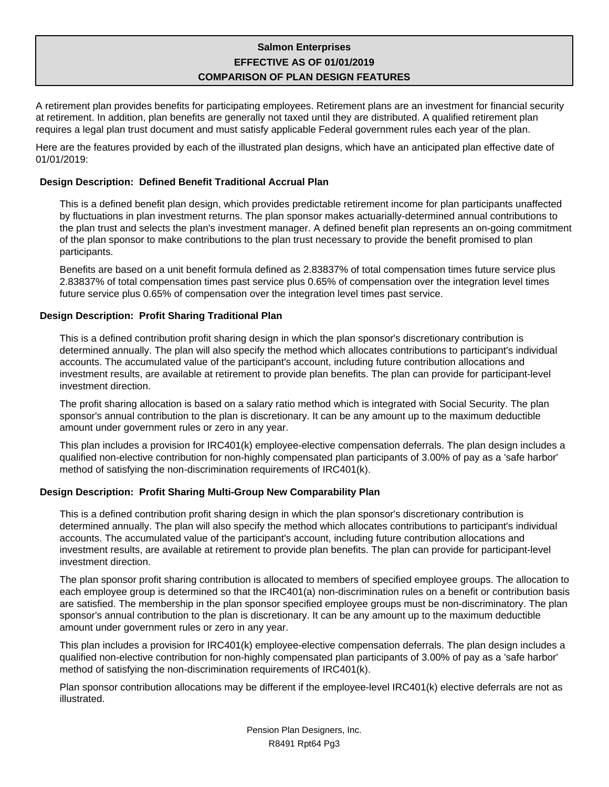## **Salmon Enterprises EFFECTIVE AS OF 01/01/2019 COMPARISON OF PLAN DESIGN FEATURES**

A retirement plan provides benefits for participating employees. Retirement plans are an investment for financial security at retirement. In addition, plan benefits are generally not taxed until they are distributed. A qualified retirement plan requires a legal plan trust document and must satisfy applicable Federal government rules each year of the plan.

Here are the features provided by each of the illustrated plan designs, which have an anticipated plan effective date of 01/01/2019:

### **Design Description: Defined Benefit Traditional Accrual Plan**

This is a defined benefit plan design, which provides predictable retirement income for plan participants unaffected by fluctuations in plan investment returns. The plan sponsor makes actuarially-determined annual contributions to the plan trust and selects the plan's investment manager. A defined benefit plan represents an on-going commitment of the plan sponsor to make contributions to the plan trust necessary to provide the benefit promised to plan participants.

Benefits are based on a unit benefit formula defined as 2.83837% of total compensation times future service plus 2.83837% of total compensation times past service plus 0.65% of compensation over the integration level times future service plus 0.65% of compensation over the integration level times past service.

### **Design Description: Profit Sharing Traditional Plan**

This is a defined contribution profit sharing design in which the plan sponsor's discretionary contribution is determined annually. The plan will also specify the method which allocates contributions to participant's individual accounts. The accumulated value of the participant's account, including future contribution allocations and investment results, are available at retirement to provide plan benefits. The plan can provide for participant-level investment direction.

The profit sharing allocation is based on a salary ratio method which is integrated with Social Security. The plan sponsor's annual contribution to the plan is discretionary. It can be any amount up to the maximum deductible amount under government rules or zero in any year.

This plan includes a provision for IRC401(k) employee-elective compensation deferrals. The plan design includes a qualified non-elective contribution for non-highly compensated plan participants of 3.00% of pay as a 'safe harbor' method of satisfying the non-discrimination requirements of IRC401(k).

## **Design Description: Profit Sharing Multi-Group New Comparability Plan**

This is a defined contribution profit sharing design in which the plan sponsor's discretionary contribution is determined annually. The plan will also specify the method which allocates contributions to participant's individual accounts. The accumulated value of the participant's account, including future contribution allocations and investment results, are available at retirement to provide plan benefits. The plan can provide for participant-level investment direction.

The plan sponsor profit sharing contribution is allocated to members of specified employee groups. The allocation to each employee group is determined so that the IRC401(a) non-discrimination rules on a benefit or contribution basis are satisfied. The membership in the plan sponsor specified employee groups must be non-discriminatory. The plan sponsor's annual contribution to the plan is discretionary. It can be any amount up to the maximum deductible amount under government rules or zero in any year.

This plan includes a provision for IRC401(k) employee-elective compensation deferrals. The plan design includes a qualified non-elective contribution for non-highly compensated plan participants of 3.00% of pay as a 'safe harbor' method of satisfying the non-discrimination requirements of IRC401(k).

Plan sponsor contribution allocations may be different if the employee-level IRC401(k) elective deferrals are not as illustrated.

> Pension Plan Designers, Inc. R8491 Rpt64 Pg3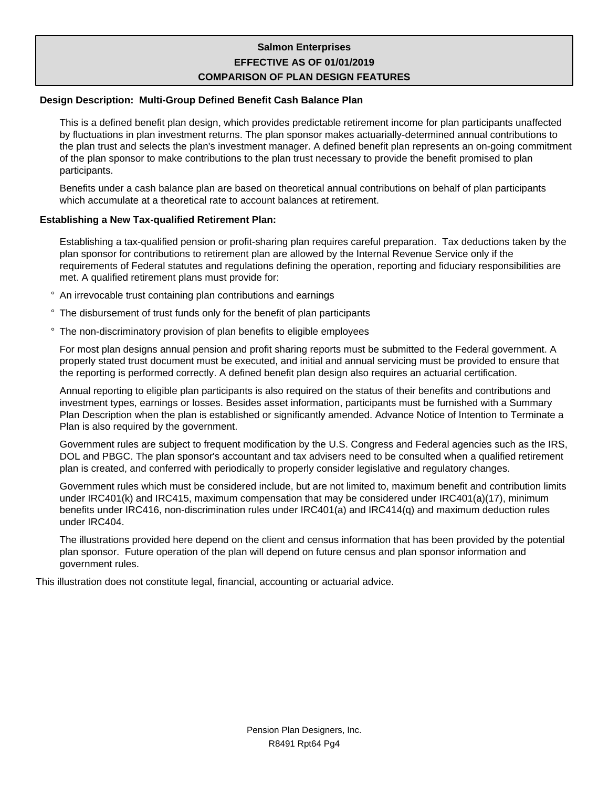## **Salmon Enterprises EFFECTIVE AS OF 01/01/2019 COMPARISON OF PLAN DESIGN FEATURES**

### **Design Description: Multi-Group Defined Benefit Cash Balance Plan**

This is a defined benefit plan design, which provides predictable retirement income for plan participants unaffected by fluctuations in plan investment returns. The plan sponsor makes actuarially-determined annual contributions to the plan trust and selects the plan's investment manager. A defined benefit plan represents an on-going commitment of the plan sponsor to make contributions to the plan trust necessary to provide the benefit promised to plan participants.

Benefits under a cash balance plan are based on theoretical annual contributions on behalf of plan participants which accumulate at a theoretical rate to account balances at retirement.

### **Establishing a New Tax-qualified Retirement Plan:**

Establishing a tax-qualified pension or profit-sharing plan requires careful preparation. Tax deductions taken by the plan sponsor for contributions to retirement plan are allowed by the Internal Revenue Service only if the requirements of Federal statutes and regulations defining the operation, reporting and fiduciary responsibilities are met. A qualified retirement plans must provide for:

- ° An irrevocable trust containing plan contributions and earnings
- ° The disbursement of trust funds only for the benefit of plan participants
- ° The non-discriminatory provision of plan benefits to eligible employees

For most plan designs annual pension and profit sharing reports must be submitted to the Federal government. A properly stated trust document must be executed, and initial and annual servicing must be provided to ensure that the reporting is performed correctly. A defined benefit plan design also requires an actuarial certification.

Annual reporting to eligible plan participants is also required on the status of their benefits and contributions and investment types, earnings or losses. Besides asset information, participants must be furnished with a Summary Plan Description when the plan is established or significantly amended. Advance Notice of Intention to Terminate a Plan is also required by the government.

Government rules are subject to frequent modification by the U.S. Congress and Federal agencies such as the IRS, DOL and PBGC. The plan sponsor's accountant and tax advisers need to be consulted when a qualified retirement plan is created, and conferred with periodically to properly consider legislative and regulatory changes.

Government rules which must be considered include, but are not limited to, maximum benefit and contribution limits under IRC401(k) and IRC415, maximum compensation that may be considered under IRC401(a)(17), minimum benefits under IRC416, non-discrimination rules under IRC401(a) and IRC414(q) and maximum deduction rules under IRC404.

The illustrations provided here depend on the client and census information that has been provided by the potential plan sponsor. Future operation of the plan will depend on future census and plan sponsor information and government rules.

This illustration does not constitute legal, financial, accounting or actuarial advice.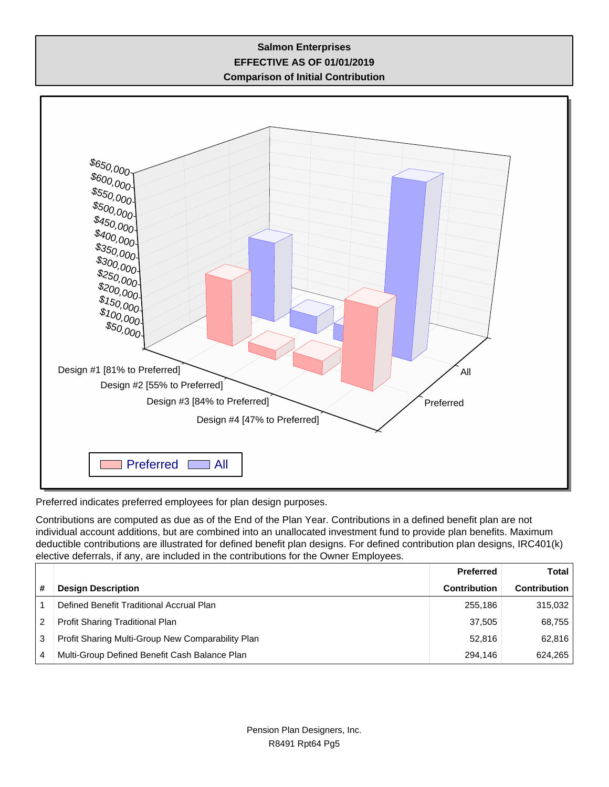## **Salmon Enterprises EFFECTIVE AS OF 01/01/2019 Comparison of Initial Contribution**



Preferred indicates preferred employees for plan design purposes.

Contributions are computed as due as of the End of the Plan Year. Contributions in a defined benefit plan are not individual account additions, but are combined into an unallocated investment fund to provide plan benefits. Maximum deductible contributions are illustrated for defined benefit plan designs. For defined contribution plan designs, IRC401(k) elective deferrals, if any, are included in the contributions for the Owner Employees.

|   |                                                   | <b>Preferred</b>    | <b>Total</b>        |
|---|---------------------------------------------------|---------------------|---------------------|
| # | <b>Design Description</b>                         | <b>Contribution</b> | <b>Contribution</b> |
|   | Defined Benefit Traditional Accrual Plan          | 255.186             | 315,032             |
| 2 | Profit Sharing Traditional Plan                   | 37.505              | 68,755              |
| 3 | Profit Sharing Multi-Group New Comparability Plan | 52.816              | 62,816              |
| 4 | Multi-Group Defined Benefit Cash Balance Plan     | 294.146             | 624,265             |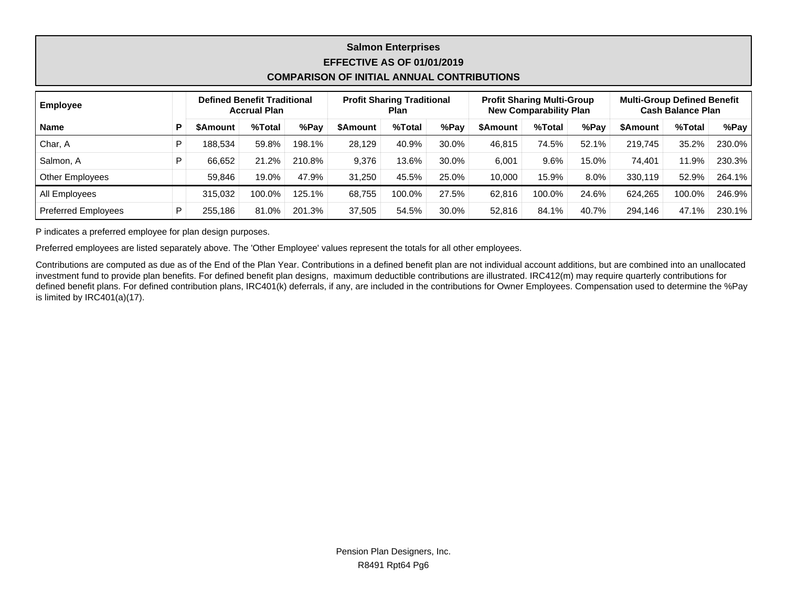## **Salmon Enterprises EFFECTIVE AS OF 01/01/2019 COMPARISON OF INITIAL ANNUAL CONTRIBUTIONS**

| <b>Employee</b>            |                 | <b>Defined Benefit Traditional</b><br><b>Accrual Plan</b> |        |                 | <b>Profit Sharing Traditional</b><br><b>Profit Sharing Multi-Group</b><br><b>New Comparability Plan</b><br>Plan |       |          |        | <b>Multi-Group Defined Benefit</b><br><b>Cash Balance Plan</b> |          |        |        |
|----------------------------|-----------------|-----------------------------------------------------------|--------|-----------------|-----------------------------------------------------------------------------------------------------------------|-------|----------|--------|----------------------------------------------------------------|----------|--------|--------|
| <b>Name</b>                | <b>\$Amount</b> | %Total                                                    | %Pay   | <b>\$Amount</b> | %Total                                                                                                          | %Pay  | \$Amount | %Total | %Pay                                                           | \$Amount | %Total | %Pay   |
| Char, A                    | 188,534         | 59.8%                                                     | 198.1% | 28.129          | 40.9%                                                                                                           | 30.0% | 46.815   | 74.5%  | 52.1%                                                          | 219.745  | 35.2%  | 230.0% |
| Salmon, A                  | 66.652          | 21.2%                                                     | 210.8% | 9.376           | 13.6%                                                                                                           | 30.0% | 6,001    | 9.6%   | 15.0%                                                          | 74.401   | 11.9%  | 230.3% |
| Other Employees            | 59.846          | 19.0%                                                     | 47.9%  | 31.250          | 45.5%                                                                                                           | 25.0% | 10.000   | 15.9%  | 8.0%                                                           | 330.119  | 52.9%  | 264.1% |
| All Employees              | 315.032         | 100.0%                                                    | 125.1% | 68.755          | 100.0%                                                                                                          | 27.5% | 62.816   | 100.0% | 24.6%                                                          | 624.265  | 100.0% | 246.9% |
| <b>Preferred Employees</b> | 255,186         | 81.0%                                                     | 201.3% | 37.505          | 54.5%                                                                                                           | 30.0% | 52,816   | 84.1%  | 40.7%                                                          | 294.146  | 47.1%  | 230.1% |

P indicates a preferred employee for plan design purposes.

Preferred employees are listed separately above. The 'Other Employee' values represent the totals for all other employees.

Contributions are computed as due as of the End of the Plan Year. Contributions in a defined benefit plan are not individual account additions, but are combined into an unallocated investment fund to provide plan benefits. For defined benefit plan designs, maximum deductible contributions are illustrated. IRC412(m) may require quarterly contributions for defined benefit plans. For defined contribution plans, IRC401(k) deferrals, if any, are included in the contributions for Owner Employees. Compensation used to determine the %Pay is limited by IRC401(a)(17).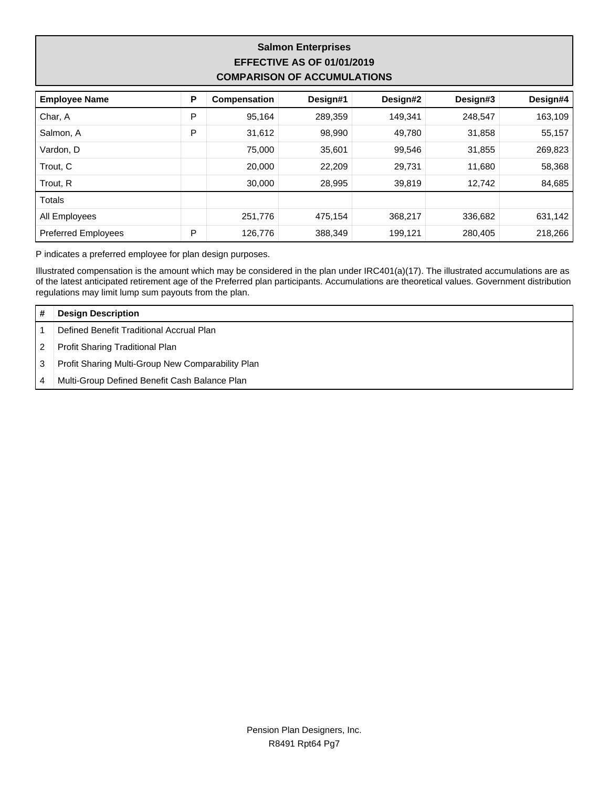## **Salmon Enterprises EFFECTIVE AS OF 01/01/2019 COMPARISON OF ACCUMULATIONS**

| <b>Employee Name</b>       | P | Compensation | Design#1 | Design#2 | Design#3 | Design#4 |
|----------------------------|---|--------------|----------|----------|----------|----------|
| Char, A                    | P | 95,164       | 289,359  | 149,341  | 248,547  | 163,109  |
| Salmon, A                  | P | 31,612       | 98,990   | 49,780   | 31,858   | 55,157   |
| Vardon, D                  |   | 75,000       | 35,601   | 99,546   | 31,855   | 269,823  |
| Trout, C                   |   | 20,000       | 22,209   | 29,731   | 11,680   | 58,368   |
| Trout, R                   |   | 30,000       | 28,995   | 39,819   | 12,742   | 84,685   |
| Totals                     |   |              |          |          |          |          |
| All Employees              |   | 251,776      | 475.154  | 368,217  | 336,682  | 631,142  |
| <b>Preferred Employees</b> | P | 126,776      | 388,349  | 199,121  | 280.405  | 218,266  |

P indicates a preferred employee for plan design purposes.

Illustrated compensation is the amount which may be considered in the plan under IRC401(a)(17). The illustrated accumulations are as of the latest anticipated retirement age of the Preferred plan participants. Accumulations are theoretical values. Government distribution regulations may limit lump sum payouts from the plan.

|   | <b>Design Description</b>                         |
|---|---------------------------------------------------|
|   | Defined Benefit Traditional Accrual Plan          |
|   | Profit Sharing Traditional Plan                   |
|   | Profit Sharing Multi-Group New Comparability Plan |
| 4 | Multi-Group Defined Benefit Cash Balance Plan     |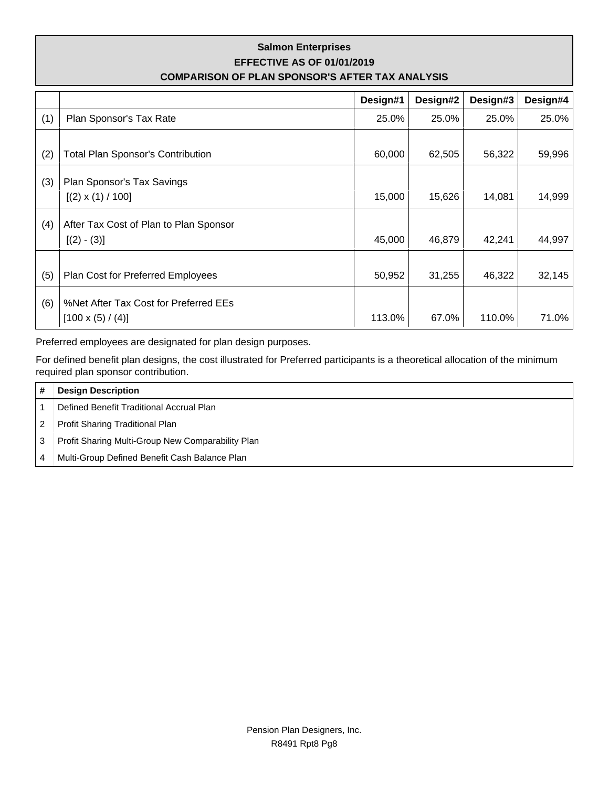## **Salmon Enterprises EFFECTIVE AS OF 01/01/2019 COMPARISON OF PLAN SPONSOR'S AFTER TAX ANALYSIS**

|     |                                          | Design#1 | Design#2 | Design#3 | Design#4 |
|-----|------------------------------------------|----------|----------|----------|----------|
| (1) | Plan Sponsor's Tax Rate                  | 25.0%    | 25.0%    | 25.0%    | 25.0%    |
|     |                                          |          |          |          |          |
| (2) | <b>Total Plan Sponsor's Contribution</b> | 60,000   | 62,505   | 56,322   | 59,996   |
| (3) | Plan Sponsor's Tax Savings               |          |          |          |          |
|     | $[(2) \times (1) / 100]$                 | 15,000   | 15,626   | 14,081   | 14,999   |
|     |                                          |          |          |          |          |
| (4) | After Tax Cost of Plan to Plan Sponsor   | 45,000   | 46,879   | 42,241   | 44,997   |
|     | $[(2) - (3)]$                            |          |          |          |          |
|     |                                          |          |          |          |          |
| (5) | Plan Cost for Preferred Employees        | 50,952   | 31,255   | 46,322   | 32,145   |
| (6) | %Net After Tax Cost for Preferred EEs    |          |          |          |          |
|     | $[100 \times (5) / (4)]$                 | 113.0%   | 67.0%    | 110.0%   | 71.0%    |

Preferred employees are designated for plan design purposes.

For defined benefit plan designs, the cost illustrated for Preferred participants is a theoretical allocation of the minimum required plan sponsor contribution.

|   | <b>Design Description</b>                         |
|---|---------------------------------------------------|
|   | Defined Benefit Traditional Accrual Plan          |
| 2 | Profit Sharing Traditional Plan                   |
| 3 | Profit Sharing Multi-Group New Comparability Plan |
|   | Multi-Group Defined Benefit Cash Balance Plan     |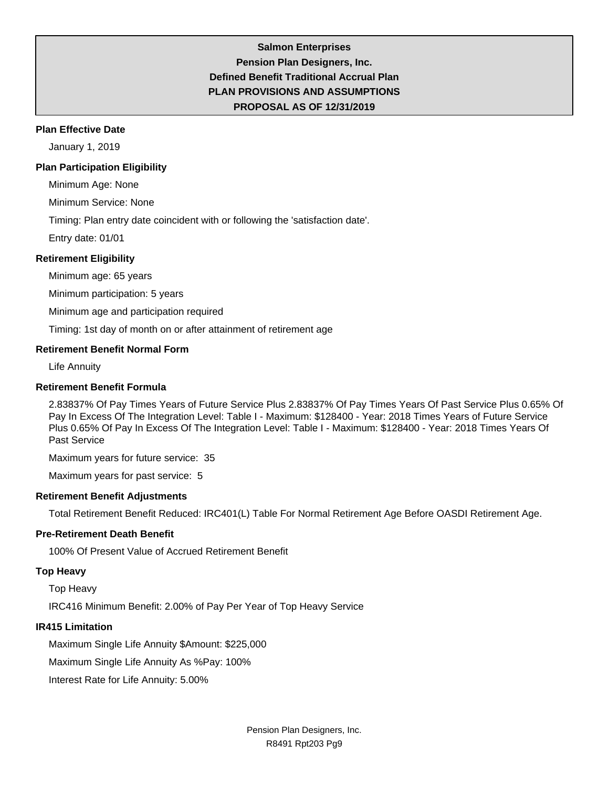## **Salmon Enterprises Pension Plan Designers, Inc. Defined Benefit Traditional Accrual Plan PLAN PROVISIONS AND ASSUMPTIONS PROPOSAL AS OF 12/31/2019**

#### **Plan Effective Date**

January 1, 2019

#### **Plan Participation Eligibility**

Minimum Age: None

Minimum Service: None

Timing: Plan entry date coincident with or following the 'satisfaction date'.

Entry date: 01/01

#### **Retirement Eligibility**

Minimum age: 65 years

Minimum participation: 5 years

Minimum age and participation required

Timing: 1st day of month on or after attainment of retirement age

#### **Retirement Benefit Normal Form**

Life Annuity

#### **Retirement Benefit Formula**

2.83837% Of Pay Times Years of Future Service Plus 2.83837% Of Pay Times Years Of Past Service Plus 0.65% Of Pay In Excess Of The Integration Level: Table I - Maximum: \$128400 - Year: 2018 Times Years of Future Service Plus 0.65% Of Pay In Excess Of The Integration Level: Table I - Maximum: \$128400 - Year: 2018 Times Years Of Past Service

Maximum years for future service: 35

Maximum years for past service: 5

### **Retirement Benefit Adjustments**

Total Retirement Benefit Reduced: IRC401(L) Table For Normal Retirement Age Before OASDI Retirement Age.

### **Pre-Retirement Death Benefit**

100% Of Present Value of Accrued Retirement Benefit

### **Top Heavy**

Top Heavy

IRC416 Minimum Benefit: 2.00% of Pay Per Year of Top Heavy Service

#### **IR415 Limitation**

Maximum Single Life Annuity \$Amount: \$225,000

Maximum Single Life Annuity As %Pay: 100%

Interest Rate for Life Annuity: 5.00%

Pension Plan Designers, Inc. R8491 Rpt203 Pg9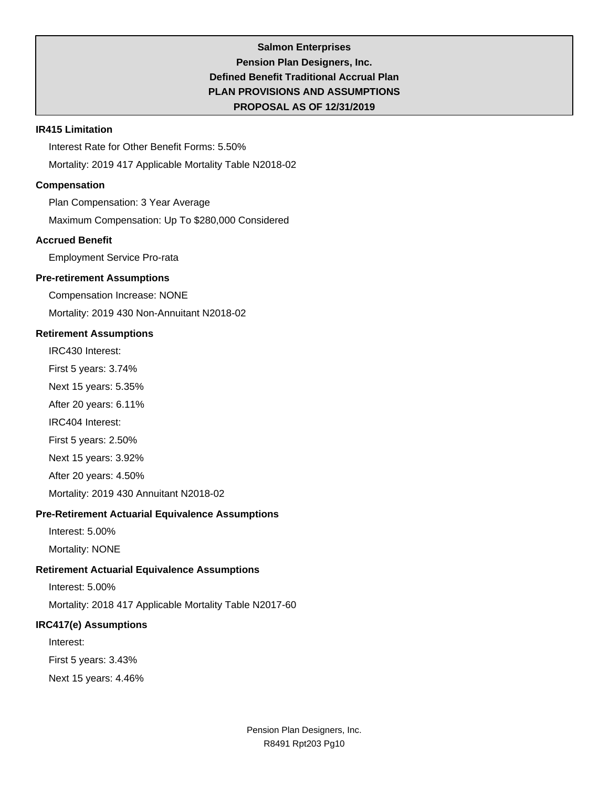## **Salmon Enterprises Pension Plan Designers, Inc. Defined Benefit Traditional Accrual Plan PLAN PROVISIONS AND ASSUMPTIONS PROPOSAL AS OF 12/31/2019**

#### **IR415 Limitation**

Interest Rate for Other Benefit Forms: 5.50% Mortality: 2019 417 Applicable Mortality Table N2018-02

### **Compensation**

Plan Compensation: 3 Year Average

Maximum Compensation: Up To \$280,000 Considered

### **Accrued Benefit**

Employment Service Pro-rata

#### **Pre-retirement Assumptions**

Compensation Increase: NONE

Mortality: 2019 430 Non-Annuitant N2018-02

### **Retirement Assumptions**

IRC430 Interest:

First 5 years: 3.74%

Next 15 years: 5.35%

After 20 years: 6.11%

IRC404 Interest:

First 5 years: 2.50%

Next 15 years: 3.92%

After 20 years: 4.50%

Mortality: 2019 430 Annuitant N2018-02

### **Pre-Retirement Actuarial Equivalence Assumptions**

Interest: 5.00%

Mortality: NONE

### **Retirement Actuarial Equivalence Assumptions**

Interest: 5.00%

Mortality: 2018 417 Applicable Mortality Table N2017-60

### **IRC417(e) Assumptions**

Interest:

First 5 years: 3.43%

Next 15 years: 4.46%

Pension Plan Designers, Inc. R8491 Rpt203 Pg10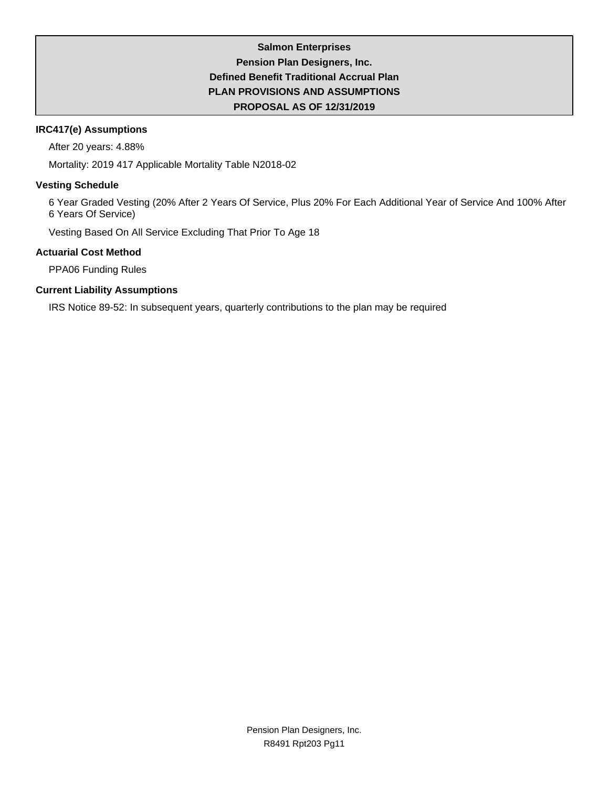## **Salmon Enterprises Pension Plan Designers, Inc. Defined Benefit Traditional Accrual Plan PLAN PROVISIONS AND ASSUMPTIONS PROPOSAL AS OF 12/31/2019**

### **IRC417(e) Assumptions**

After 20 years: 4.88%

Mortality: 2019 417 Applicable Mortality Table N2018-02

### **Vesting Schedule**

6 Year Graded Vesting (20% After 2 Years Of Service, Plus 20% For Each Additional Year of Service And 100% After 6 Years Of Service)

Vesting Based On All Service Excluding That Prior To Age 18

## **Actuarial Cost Method**

PPA06 Funding Rules

## **Current Liability Assumptions**

IRS Notice 89-52: In subsequent years, quarterly contributions to the plan may be required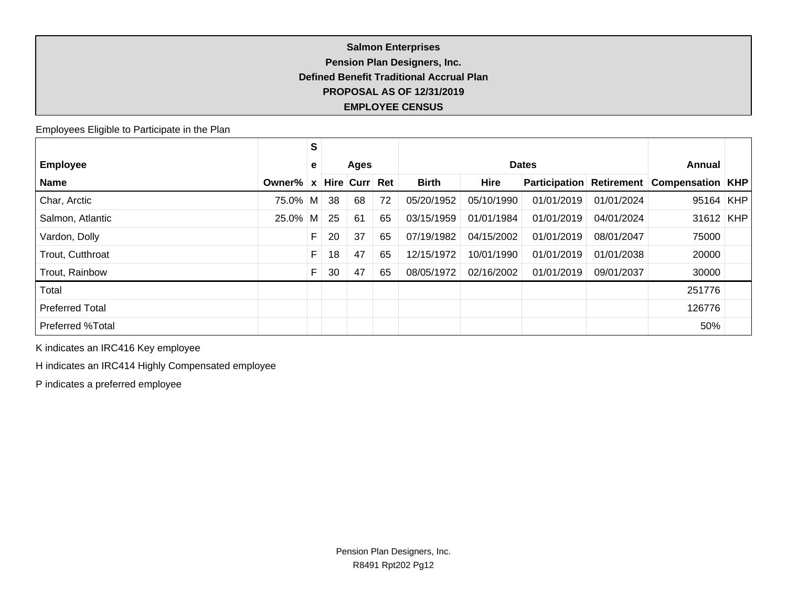## **Salmon Enterprises Pension Plan Designers, Inc. Defined Benefit Traditional Accrual Plan PROPOSAL AS OF 12/31/2019 EMPLOYEE CENSUS**

Employees Eligible to Participate in the Plan

|                         |          | S |    |           |     |              |             |                      |            |                         |  |
|-------------------------|----------|---|----|-----------|-----|--------------|-------------|----------------------|------------|-------------------------|--|
| <b>Employee</b>         |          | e |    | Ages      |     |              |             | <b>Dates</b>         |            | Annual                  |  |
| <b>Name</b>             | Owner%   | X |    | Hire Curr | Ret | <b>Birth</b> | <b>Hire</b> | <b>Participation</b> | Retirement | <b>Compensation KHP</b> |  |
| Char, Arctic            | 75.0% M  |   | 38 | 68        | 72  | 05/20/1952   | 05/10/1990  | 01/01/2019           | 01/01/2024 | $95164$ KHP             |  |
| Salmon, Atlantic        | $25.0\%$ | M | 25 | 61        | 65  | 03/15/1959   | 01/01/1984  | 01/01/2019           | 04/01/2024 | $31612$ KHP             |  |
| Vardon, Dolly           |          | F | 20 | 37        | 65  | 07/19/1982   | 04/15/2002  | 01/01/2019           | 08/01/2047 | 75000                   |  |
| Trout, Cutthroat        |          | F | 18 | 47        | 65  | 12/15/1972   | 10/01/1990  | 01/01/2019           | 01/01/2038 | 20000                   |  |
| Trout, Rainbow          |          |   | 30 | 47        | 65  | 08/05/1972   | 02/16/2002  | 01/01/2019           | 09/01/2037 | 30000                   |  |
| Total                   |          |   |    |           |     |              |             |                      |            | 251776                  |  |
| <b>Preferred Total</b>  |          |   |    |           |     |              |             |                      |            | 126776                  |  |
| <b>Preferred %Total</b> |          |   |    |           |     |              |             |                      |            | 50%                     |  |

K indicates an IRC416 Key employee

H indicates an IRC414 Highly Compensated employee

P indicates a preferred employee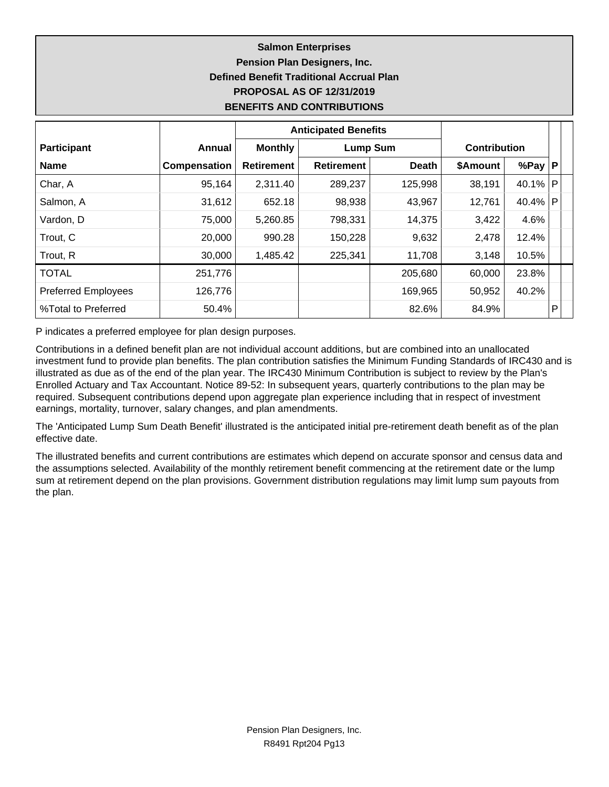## **Salmon Enterprises Pension Plan Designers, Inc. Defined Benefit Traditional Accrual Plan PROPOSAL AS OF 12/31/2019 BENEFITS AND CONTRIBUTIONS**

|                            |              |                   | <b>Anticipated Benefits</b> |              |                     |            |              |
|----------------------------|--------------|-------------------|-----------------------------|--------------|---------------------|------------|--------------|
| <b>Participant</b>         | Annual       | <b>Monthly</b>    | <b>Lump Sum</b>             |              | <b>Contribution</b> |            |              |
| <b>Name</b>                | Compensation | <b>Retirement</b> | <b>Retirement</b>           | <b>Death</b> | \$Amount            | %Pay $ P $ |              |
| Char, A                    | 95,164       | 2,311.40          | 289,237                     | 125,998      | 38,191              | 40.1%      | $\mathsf{P}$ |
| Salmon, A                  | 31,612       | 652.18            | 98,938                      | 43,967       | 12,761              | 40.4%      | $\mathsf{P}$ |
| Vardon, D                  | 75,000       | 5,260.85          | 798,331                     | 14,375       | 3,422               | 4.6%       |              |
| Trout, C                   | 20,000       | 990.28            | 150,228                     | 9,632        | 2,478               | 12.4%      |              |
| Trout, R                   | 30,000       | 1,485.42          | 225,341                     | 11,708       | 3,148               | 10.5%      |              |
| <b>TOTAL</b>               | 251,776      |                   |                             | 205,680      | 60,000              | 23.8%      |              |
| <b>Preferred Employees</b> | 126,776      |                   |                             | 169,965      | 50,952              | 40.2%      |              |
| %Total to Preferred        | 50.4%        |                   |                             | 82.6%        | 84.9%               |            | P            |

P indicates a preferred employee for plan design purposes.

Contributions in a defined benefit plan are not individual account additions, but are combined into an unallocated investment fund to provide plan benefits. The plan contribution satisfies the Minimum Funding Standards of IRC430 and is illustrated as due as of the end of the plan year. The IRC430 Minimum Contribution is subject to review by the Plan's Enrolled Actuary and Tax Accountant. Notice 89-52: In subsequent years, quarterly contributions to the plan may be required. Subsequent contributions depend upon aggregate plan experience including that in respect of investment earnings, mortality, turnover, salary changes, and plan amendments.

The 'Anticipated Lump Sum Death Benefit' illustrated is the anticipated initial pre-retirement death benefit as of the plan effective date.

The illustrated benefits and current contributions are estimates which depend on accurate sponsor and census data and the assumptions selected. Availability of the monthly retirement benefit commencing at the retirement date or the lump sum at retirement depend on the plan provisions. Government distribution regulations may limit lump sum payouts from the plan.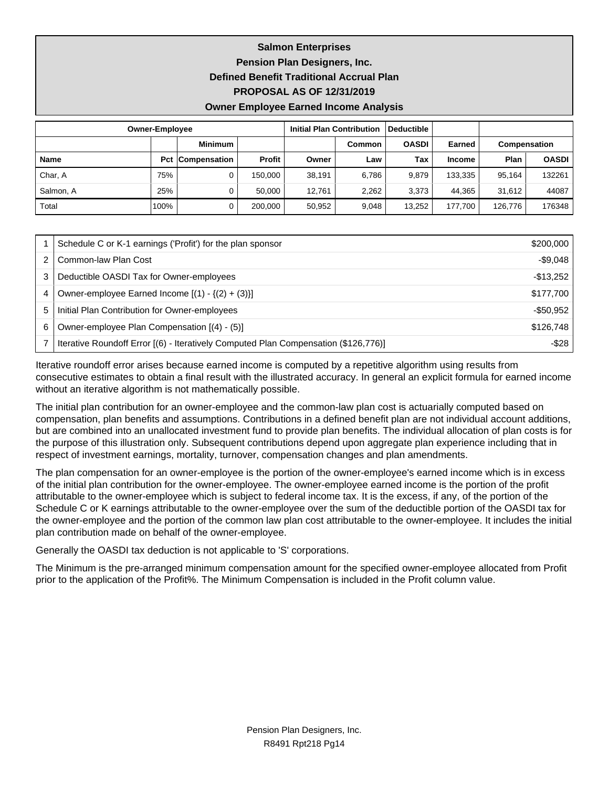**Salmon Enterprises Pension Plan Designers, Inc. Defined Benefit Traditional Accrual Plan**

**PROPOSAL AS OF 12/31/2019**

**Owner Employee Earned Income Analysis**

|             | <b>Owner-Employee</b> |                         |         | <b>Initial Plan Contribution</b> |        | Deductible   |               |              |              |
|-------------|-----------------------|-------------------------|---------|----------------------------------|--------|--------------|---------------|--------------|--------------|
|             |                       | <b>Minimum</b>          |         |                                  | Common | <b>OASDI</b> | Earned        | Compensation |              |
| <b>Name</b> |                       | <b>Pct Compensation</b> | Profit  | Owner                            | Law    | Tax          | <b>Income</b> | Plan         | <b>OASDI</b> |
| Char, A     | 75%                   | 0                       | 150.000 | 38,191                           | 6.786  | 9.879        | 133,335       | 95.164       | 132261       |
| Salmon, A   | 25%                   | 0                       | 50.000  | 12.761                           | 2,262  | 3,373        | 44.365        | 31.612       | 44087        |
| Total       | 100%                  | 0                       | 200.000 | 50.952                           | 9.048  | 13,252       | 177.700       | 126.776      | 176348       |

|   | Schedule C or K-1 earnings ('Profit') for the plan sponsor                          | \$200,000  |
|---|-------------------------------------------------------------------------------------|------------|
|   | Common-law Plan Cost                                                                | $-$9,048$  |
|   | Deductible OASDI Tax for Owner-employees                                            | $-$13,252$ |
| 4 | Owner-employee Earned Income $[(1) - \{(2) + (3)\}]$                                | \$177,700  |
| 5 | Initial Plan Contribution for Owner-employees                                       | $-$50,952$ |
| 6 | Owner-employee Plan Compensation [(4) - (5)]                                        | \$126,748  |
|   | Iterative Roundoff Error [(6) - Iteratively Computed Plan Compensation (\$126,776)] | $-$ \$28   |

Iterative roundoff error arises because earned income is computed by a repetitive algorithm using results from consecutive estimates to obtain a final result with the illustrated accuracy. In general an explicit formula for earned income without an iterative algorithm is not mathematically possible.

The initial plan contribution for an owner-employee and the common-law plan cost is actuarially computed based on compensation, plan benefits and assumptions. Contributions in a defined benefit plan are not individual account additions, but are combined into an unallocated investment fund to provide plan benefits. The individual allocation of plan costs is for the purpose of this illustration only. Subsequent contributions depend upon aggregate plan experience including that in respect of investment earnings, mortality, turnover, compensation changes and plan amendments.

The plan compensation for an owner-employee is the portion of the owner-employee's earned income which is in excess of the initial plan contribution for the owner-employee. The owner-employee earned income is the portion of the profit attributable to the owner-employee which is subject to federal income tax. It is the excess, if any, of the portion of the Schedule C or K earnings attributable to the owner-employee over the sum of the deductible portion of the OASDI tax for the owner-employee and the portion of the common law plan cost attributable to the owner-employee. It includes the initial plan contribution made on behalf of the owner-employee.

Generally the OASDI tax deduction is not applicable to 'S' corporations.

The Minimum is the pre-arranged minimum compensation amount for the specified owner-employee allocated from Profit prior to the application of the Profit%. The Minimum Compensation is included in the Profit column value.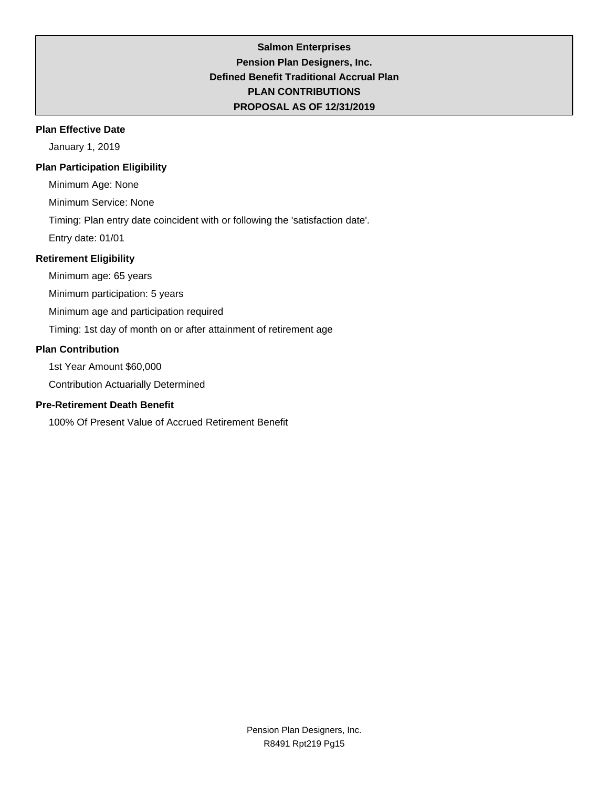## **Salmon Enterprises Pension Plan Designers, Inc. Defined Benefit Traditional Accrual Plan PLAN CONTRIBUTIONS PROPOSAL AS OF 12/31/2019**

### **Plan Effective Date**

January 1, 2019

## **Plan Participation Eligibility**

Minimum Age: None

Minimum Service: None

Timing: Plan entry date coincident with or following the 'satisfaction date'.

Entry date: 01/01

## **Retirement Eligibility**

Minimum age: 65 years

Minimum participation: 5 years

Minimum age and participation required

Timing: 1st day of month on or after attainment of retirement age

### **Plan Contribution**

1st Year Amount \$60,000

Contribution Actuarially Determined

## **Pre-Retirement Death Benefit**

100% Of Present Value of Accrued Retirement Benefit

Pension Plan Designers, Inc. R8491 Rpt219 Pg15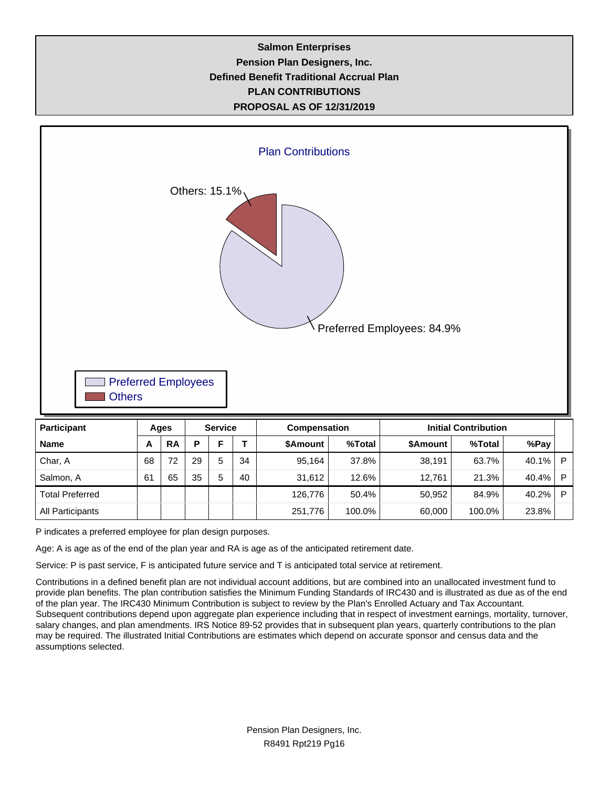## **Salmon Enterprises Pension Plan Designers, Inc. Defined Benefit Traditional Accrual Plan PLAN CONTRIBUTIONS PROPOSAL AS OF 12/31/2019**



P indicates a preferred employee for plan design purposes.

Age: A is age as of the end of the plan year and RA is age as of the anticipated retirement date.

Service: P is past service, F is anticipated future service and T is anticipated total service at retirement.

Contributions in a defined benefit plan are not individual account additions, but are combined into an unallocated investment fund to provide plan benefits. The plan contribution satisfies the Minimum Funding Standards of IRC430 and is illustrated as due as of the end of the plan year. The IRC430 Minimum Contribution is subject to review by the Plan's Enrolled Actuary and Tax Accountant. Subsequent contributions depend upon aggregate plan experience including that in respect of investment earnings, mortality, turnover, salary changes, and plan amendments. IRS Notice 89-52 provides that in subsequent plan years, quarterly contributions to the plan may be required. The illustrated Initial Contributions are estimates which depend on accurate sponsor and census data and the assumptions selected.

Total Preferred The Total Preferred The The Transition of the Transition of the Transition of the Transition of the Transition of the Transition of the Transition of the Transition of the Transition of the Transition of th All Participants 251,776 100.0% 60,000 100.0% 23.8%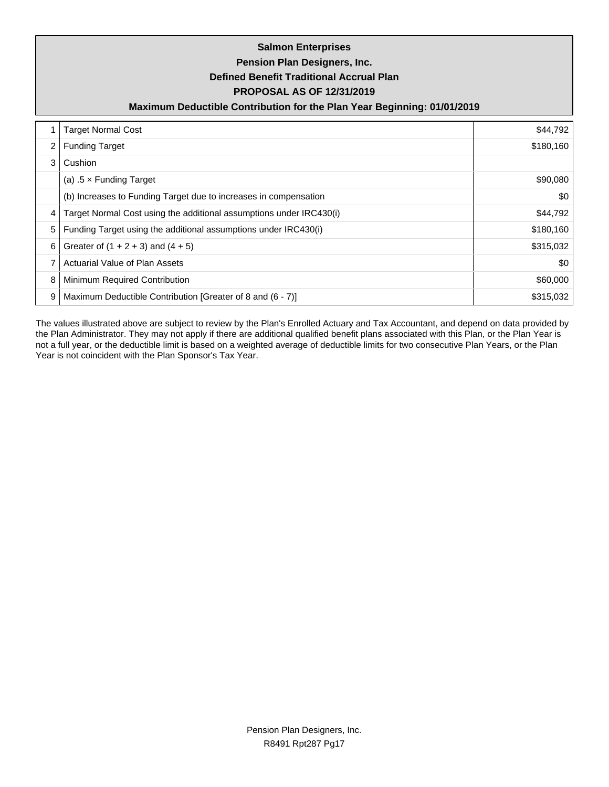|                | <b>Salmon Enterprises</b><br>Pension Plan Designers, Inc.<br><b>Defined Benefit Traditional Accrual Plan</b><br><b>PROPOSAL AS OF 12/31/2019</b><br>Maximum Deductible Contribution for the Plan Year Beginning: 01/01/2019 |           |  |  |  |  |  |  |  |  |
|----------------|-----------------------------------------------------------------------------------------------------------------------------------------------------------------------------------------------------------------------------|-----------|--|--|--|--|--|--|--|--|
|                | <b>Target Normal Cost</b>                                                                                                                                                                                                   | \$44,792  |  |  |  |  |  |  |  |  |
| $\overline{2}$ | <b>Funding Target</b>                                                                                                                                                                                                       | \$180,160 |  |  |  |  |  |  |  |  |
| 3              | Cushion                                                                                                                                                                                                                     |           |  |  |  |  |  |  |  |  |
|                | (a) $.5 \times$ Funding Target                                                                                                                                                                                              | \$90,080  |  |  |  |  |  |  |  |  |
|                | (b) Increases to Funding Target due to increases in compensation                                                                                                                                                            | \$0       |  |  |  |  |  |  |  |  |
| 4              | Target Normal Cost using the additional assumptions under IRC430(i)                                                                                                                                                         | \$44,792  |  |  |  |  |  |  |  |  |
| 5              | Funding Target using the additional assumptions under IRC430(i)                                                                                                                                                             | \$180,160 |  |  |  |  |  |  |  |  |
| 6              | Greater of $(1 + 2 + 3)$ and $(4 + 5)$                                                                                                                                                                                      | \$315,032 |  |  |  |  |  |  |  |  |
| $\overline{7}$ | Actuarial Value of Plan Assets                                                                                                                                                                                              | \$0       |  |  |  |  |  |  |  |  |
| 8              | Minimum Required Contribution                                                                                                                                                                                               | \$60,000  |  |  |  |  |  |  |  |  |
| 9              | Maximum Deductible Contribution [Greater of 8 and (6 - 7)]                                                                                                                                                                  | \$315,032 |  |  |  |  |  |  |  |  |

The values illustrated above are subject to review by the Plan's Enrolled Actuary and Tax Accountant, and depend on data provided by the Plan Administrator. They may not apply if there are additional qualified benefit plans associated with this Plan, or the Plan Year is not a full year, or the deductible limit is based on a weighted average of deductible limits for two consecutive Plan Years, or the Plan Year is not coincident with the Plan Sponsor's Tax Year.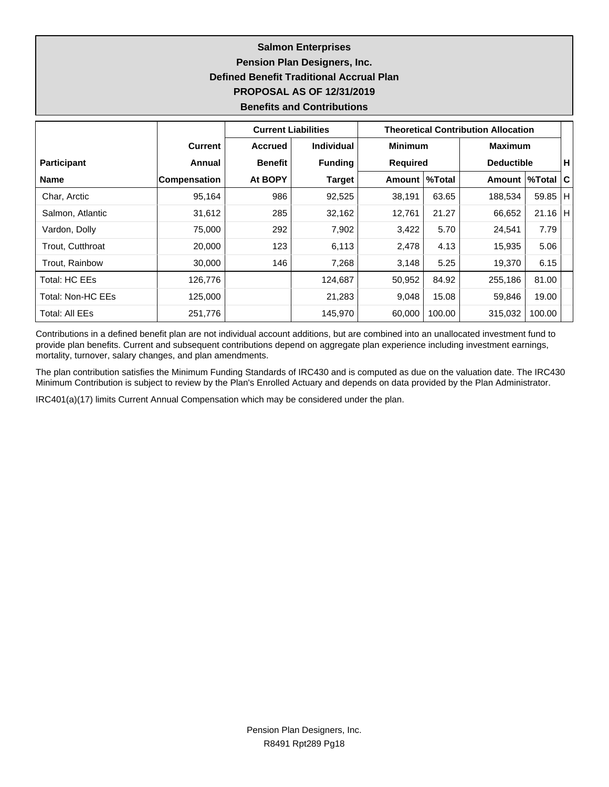## **Salmon Enterprises Pension Plan Designers, Inc. Defined Benefit Traditional Accrual Plan PROPOSAL AS OF 12/31/2019 Benefits and Contributions**

|                         |                     | <b>Current Liabilities</b> |                   |                 |        | <b>Theoretical Contribution Allocation</b> |           |     |
|-------------------------|---------------------|----------------------------|-------------------|-----------------|--------|--------------------------------------------|-----------|-----|
|                         | <b>Current</b>      | <b>Accrued</b>             | <b>Individual</b> | <b>Minimum</b>  |        | <b>Maximum</b>                             |           |     |
| <b>Participant</b>      | Annual              | <b>Benefit</b>             | <b>Funding</b>    | <b>Required</b> |        | <b>Deductible</b>                          |           | Н.  |
| <b>Name</b>             | <b>Compensation</b> | At BOPY                    | <b>Target</b>     | Amount   %Total |        | Amount  %Total                             |           | ∣C⊦ |
| Char, Arctic            | 95,164              | 986                        | 92,525            | 38,191          | 63.65  | 188,534                                    | 59.85   H |     |
| Salmon, Atlantic        | 31,612              | 285                        | 32,162            | 12,761          | 21.27  | 66,652                                     | $21.16$ H |     |
| Vardon, Dolly           | 75,000              | 292                        | 7,902             | 3,422           | 5.70   | 24,541                                     | 7.79      |     |
| <b>Trout. Cutthroat</b> | 20,000              | 123                        | 6,113             | 2,478           | 4.13   | 15,935                                     | 5.06      |     |
| Trout, Rainbow          | 30,000              | 146                        | 7,268             | 3,148           | 5.25   | 19,370                                     | 6.15      |     |
| Total: HC EEs           | 126,776             |                            | 124,687           | 50,952          | 84.92  | 255,186                                    | 81.00     |     |
| Total: Non-HC EEs       | 125,000             |                            | 21,283            | 9,048           | 15.08  | 59,846                                     | 19.00     |     |
| Total: All EEs          | 251,776             |                            | 145,970           | 60,000          | 100.00 | 315,032                                    | 100.00    |     |

Contributions in a defined benefit plan are not individual account additions, but are combined into an unallocated investment fund to provide plan benefits. Current and subsequent contributions depend on aggregate plan experience including investment earnings, mortality, turnover, salary changes, and plan amendments.

The plan contribution satisfies the Minimum Funding Standards of IRC430 and is computed as due on the valuation date. The IRC430 Minimum Contribution is subject to review by the Plan's Enrolled Actuary and depends on data provided by the Plan Administrator.

IRC401(a)(17) limits Current Annual Compensation which may be considered under the plan.

Pension Plan Designers, Inc. R8491 Rpt289 Pg18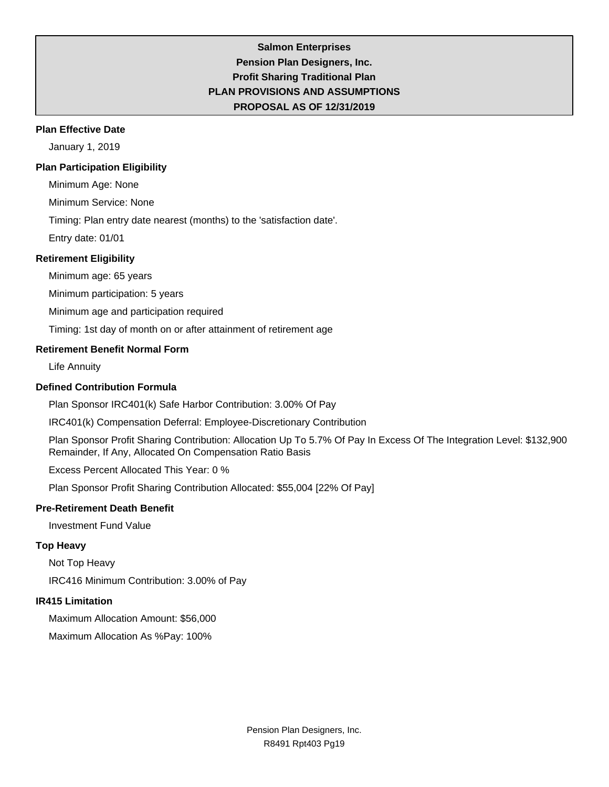## **Salmon Enterprises Pension Plan Designers, Inc. Profit Sharing Traditional Plan PLAN PROVISIONS AND ASSUMPTIONS PROPOSAL AS OF 12/31/2019**

#### **Plan Effective Date**

January 1, 2019

#### **Plan Participation Eligibility**

Minimum Age: None

Minimum Service: None

Timing: Plan entry date nearest (months) to the 'satisfaction date'.

Entry date: 01/01

#### **Retirement Eligibility**

Minimum age: 65 years

Minimum participation: 5 years

Minimum age and participation required

Timing: 1st day of month on or after attainment of retirement age

#### **Retirement Benefit Normal Form**

Life Annuity

### **Defined Contribution Formula**

Plan Sponsor IRC401(k) Safe Harbor Contribution: 3.00% Of Pay

IRC401(k) Compensation Deferral: Employee-Discretionary Contribution

Plan Sponsor Profit Sharing Contribution: Allocation Up To 5.7% Of Pay In Excess Of The Integration Level: \$132,900 Remainder, If Any, Allocated On Compensation Ratio Basis

Excess Percent Allocated This Year: 0 %

Plan Sponsor Profit Sharing Contribution Allocated: \$55,004 [22% Of Pay]

#### **Pre-Retirement Death Benefit**

Investment Fund Value

## **Top Heavy**

Not Top Heavy

IRC416 Minimum Contribution: 3.00% of Pay

#### **IR415 Limitation**

Maximum Allocation Amount: \$56,000

Maximum Allocation As %Pay: 100%

Pension Plan Designers, Inc. R8491 Rpt403 Pg19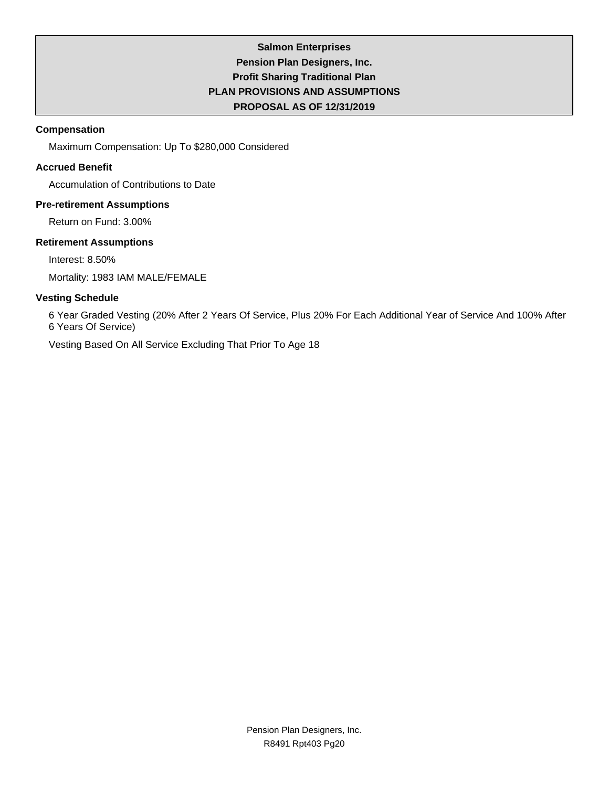## **Salmon Enterprises Pension Plan Designers, Inc. Profit Sharing Traditional Plan PLAN PROVISIONS AND ASSUMPTIONS PROPOSAL AS OF 12/31/2019**

### **Compensation**

Maximum Compensation: Up To \$280,000 Considered

## **Accrued Benefit**

Accumulation of Contributions to Date

### **Pre-retirement Assumptions**

Return on Fund: 3.00%

## **Retirement Assumptions**

Interest: 8.50%

Mortality: 1983 IAM MALE/FEMALE

## **Vesting Schedule**

6 Year Graded Vesting (20% After 2 Years Of Service, Plus 20% For Each Additional Year of Service And 100% After 6 Years Of Service)

Vesting Based On All Service Excluding That Prior To Age 18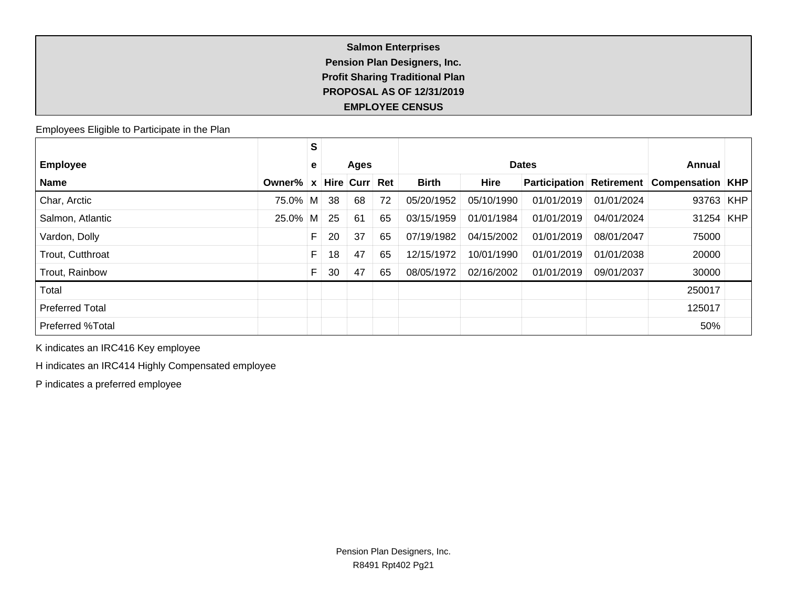## **Salmon Enterprises Pension Plan Designers, Inc. Profit Sharing Traditional Plan PROPOSAL AS OF 12/31/2019 EMPLOYEE CENSUS**

Employees Eligible to Participate in the Plan

|                         |            | S            |    |           |     |              |             |                      |            |                           |            |
|-------------------------|------------|--------------|----|-----------|-----|--------------|-------------|----------------------|------------|---------------------------|------------|
| <b>Employee</b>         |            | е            |    | Ages      |     |              |             | <b>Dates</b>         |            | Annual                    |            |
| <b>Name</b>             | Owner%     | $\mathbf{x}$ |    | Hire Curr | Ret | <b>Birth</b> | <b>Hire</b> | <b>Participation</b> | Retirement | <b>Compensation   KHP</b> |            |
| Char, Arctic            | 75.0% M    |              | 38 | 68        | 72  | 05/20/1952   | 05/10/1990  | 01/01/2019           | 01/01/2024 | 93763                     | <b>KHP</b> |
| Salmon, Atlantic        | $25.0\%$ M |              | 25 | 61        | 65  | 03/15/1959   | 01/01/1984  | 01/01/2019           | 04/01/2024 | 31254                     | <b>KHP</b> |
| Vardon, Dolly           |            | F            | 20 | 37        | 65  | 07/19/1982   | 04/15/2002  | 01/01/2019           | 08/01/2047 | 75000                     |            |
| Trout, Cutthroat        |            | F            | 18 | 47        | 65  | 12/15/1972   | 10/01/1990  | 01/01/2019           | 01/01/2038 | 20000                     |            |
| Trout, Rainbow          |            | F            | 30 | 47        | 65  | 08/05/1972   | 02/16/2002  | 01/01/2019           | 09/01/2037 | 30000                     |            |
| Total                   |            |              |    |           |     |              |             |                      |            | 250017                    |            |
| <b>Preferred Total</b>  |            |              |    |           |     |              |             |                      |            | 125017                    |            |
| <b>Preferred %Total</b> |            |              |    |           |     |              |             |                      |            | 50%                       |            |

K indicates an IRC416 Key employee

H indicates an IRC414 Highly Compensated employee

P indicates a preferred employee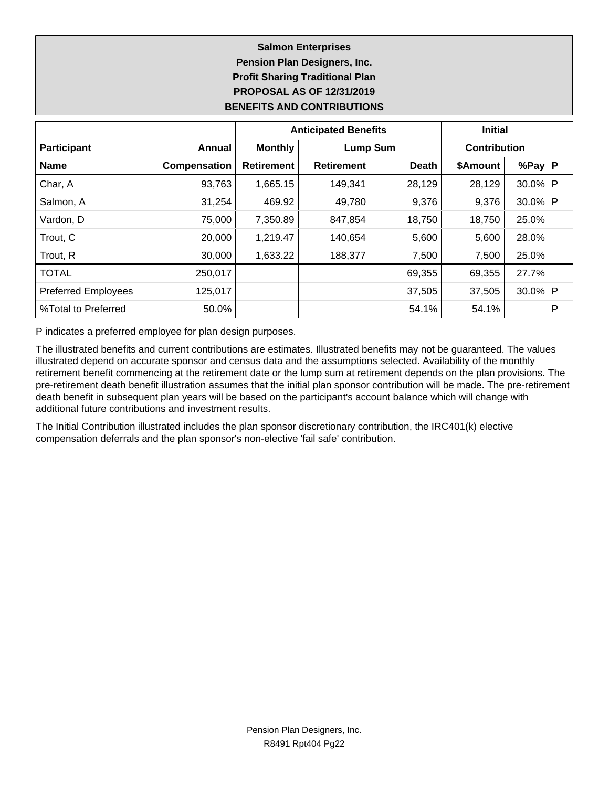## **Salmon Enterprises Pension Plan Designers, Inc. Profit Sharing Traditional Plan PROPOSAL AS OF 12/31/2019 BENEFITS AND CONTRIBUTIONS**

|                            |              |                   | <b>Anticipated Benefits</b> | <b>Initial</b> |                     |            |   |
|----------------------------|--------------|-------------------|-----------------------------|----------------|---------------------|------------|---|
| <b>Participant</b>         | Annual       | <b>Monthly</b>    | <b>Lump Sum</b>             |                | <b>Contribution</b> |            |   |
| <b>Name</b>                | Compensation | <b>Retirement</b> | <b>Retirement</b>           | <b>Death</b>   | \$Amount            | %Pay $ P $ |   |
| Char, A                    | 93,763       | 1,665.15          | 149,341                     | 28,129         | 28,129              | 30.0%      | P |
| Salmon, A                  | 31,254       | 469.92            | 49,780                      | 9,376          | 9,376               | $30.0\%$   | P |
| Vardon, D                  | 75,000       | 7,350.89          | 847,854                     | 18,750         | 18,750              | 25.0%      |   |
| Trout, C                   | 20,000       | 1,219.47          | 140,654                     | 5,600          | 5,600               | 28.0%      |   |
| Trout, R                   | 30,000       | 1,633.22          | 188,377                     | 7,500          | 7,500               | 25.0%      |   |
| <b>TOTAL</b>               | 250,017      |                   |                             | 69,355         | 69,355              | 27.7%      |   |
| <b>Preferred Employees</b> | 125,017      |                   |                             | 37,505         | 37,505              | 30.0%      | P |
| %Total to Preferred        | 50.0%        |                   |                             | 54.1%          | 54.1%               |            | P |

P indicates a preferred employee for plan design purposes.

The illustrated benefits and current contributions are estimates. Illustrated benefits may not be guaranteed. The values illustrated depend on accurate sponsor and census data and the assumptions selected. Availability of the monthly retirement benefit commencing at the retirement date or the lump sum at retirement depends on the plan provisions. The pre-retirement death benefit illustration assumes that the initial plan sponsor contribution will be made. The pre-retirement death benefit in subsequent plan years will be based on the participant's account balance which will change with additional future contributions and investment results.

The Initial Contribution illustrated includes the plan sponsor discretionary contribution, the IRC401(k) elective compensation deferrals and the plan sponsor's non-elective 'fail safe' contribution.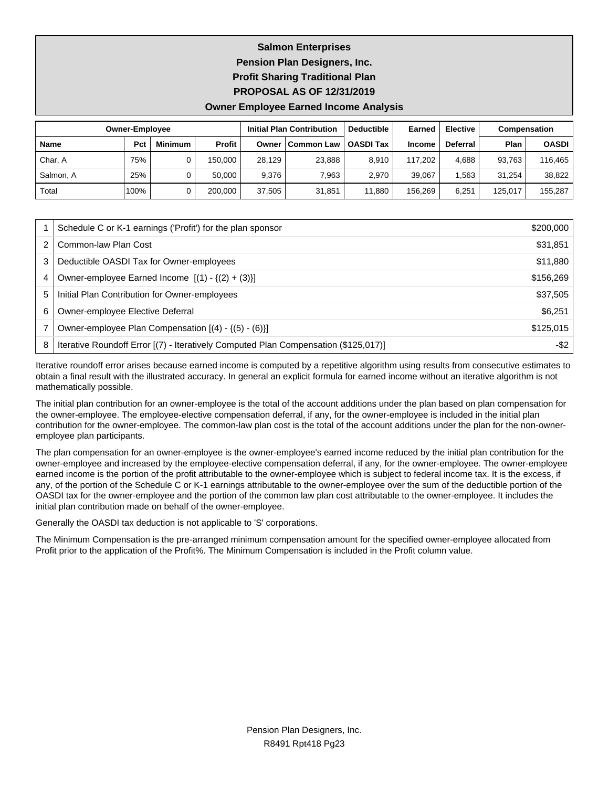# **Salmon Enterprises Pension Plan Designers, Inc. Profit Sharing Traditional Plan PROPOSAL AS OF 12/31/2019**

#### **Owner Employee Earned Income Analysis**

|           | <b>Owner-Employee</b> |                |               |        | <b>Initial Plan Contribution</b> | <b>Deductible</b> | Earned        | <b>Elective</b> | Compensation |              |
|-----------|-----------------------|----------------|---------------|--------|----------------------------------|-------------------|---------------|-----------------|--------------|--------------|
| Name      | Pct                   | <b>Minimum</b> | <b>Profit</b> | Owner  | <b>Common Law</b>                | <b>OASDI Tax</b>  | <b>Income</b> | <b>Deferral</b> | Plan         | <b>OASDI</b> |
| Char, A   | 75%                   |                | 150.000       | 28.129 | 23,888                           | 8.910             | 117.202       | 4.688           | 93.763       | 116.465      |
| Salmon, A | 25%                   |                | 50.000        | 9.376  | 7.963                            | 2.970             | 39.067        | .563            | 31.254       | 38,822       |
| Total     | 100%                  |                | 200.000       | 37.505 | 31,851                           | 11.880            | 156.269       | 6.251           | 125.017      | 155.287      |

|   | Schedule C or K-1 earnings ('Profit') for the plan sponsor                          | \$200,000 |
|---|-------------------------------------------------------------------------------------|-----------|
|   | Common-law Plan Cost                                                                | \$31,851  |
| 3 | Deductible OASDI Tax for Owner-employees                                            | \$11,880  |
| 4 | Owner-employee Earned Income $[(1) - {(2) + (3)}]$                                  | \$156,269 |
| 5 | Initial Plan Contribution for Owner-employees                                       | \$37,505  |
| 6 | Owner-employee Elective Deferral                                                    | \$6,251   |
|   | Owner-employee Plan Compensation $[(4) - \{(5) - (6)\}]$                            | \$125,015 |
| 8 | Iterative Roundoff Error [(7) - Iteratively Computed Plan Compensation (\$125,017)] | -\$2      |

Iterative roundoff error arises because earned income is computed by a repetitive algorithm using results from consecutive estimates to obtain a final result with the illustrated accuracy. In general an explicit formula for earned income without an iterative algorithm is not mathematically possible.

The initial plan contribution for an owner-employee is the total of the account additions under the plan based on plan compensation for the owner-employee. The employee-elective compensation deferral, if any, for the owner-employee is included in the initial plan contribution for the owner-employee. The common-law plan cost is the total of the account additions under the plan for the non-owneremployee plan participants.

The plan compensation for an owner-employee is the owner-employee's earned income reduced by the initial plan contribution for the owner-employee and increased by the employee-elective compensation deferral, if any, for the owner-employee. The owner-employee earned income is the portion of the profit attributable to the owner-employee which is subject to federal income tax. It is the excess, if any, of the portion of the Schedule C or K-1 earnings attributable to the owner-employee over the sum of the deductible portion of the OASDI tax for the owner-employee and the portion of the common law plan cost attributable to the owner-employee. It includes the initial plan contribution made on behalf of the owner-employee.

Generally the OASDI tax deduction is not applicable to 'S' corporations.

The Minimum Compensation is the pre-arranged minimum compensation amount for the specified owner-employee allocated from Profit prior to the application of the Profit%. The Minimum Compensation is included in the Profit column value.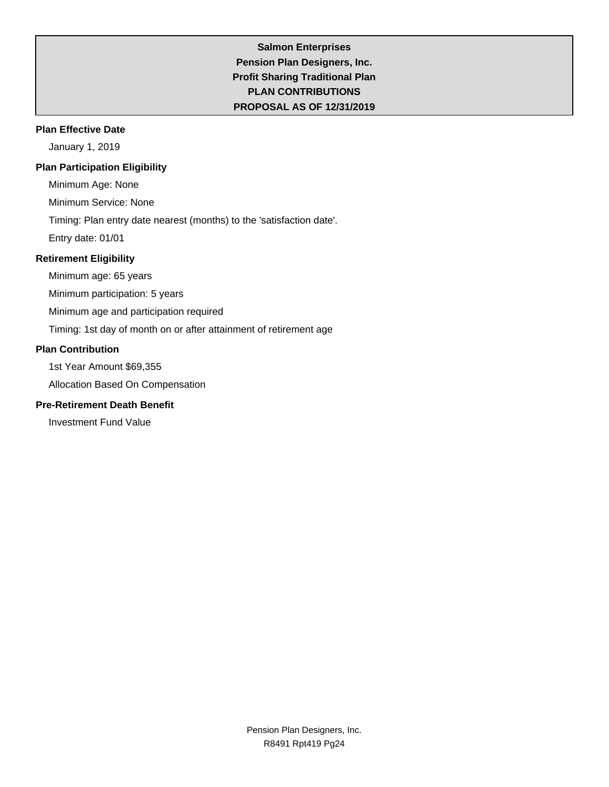## **Salmon Enterprises Pension Plan Designers, Inc. Profit Sharing Traditional Plan PLAN CONTRIBUTIONS PROPOSAL AS OF 12/31/2019**

### **Plan Effective Date**

January 1, 2019

### **Plan Participation Eligibility**

Minimum Age: None

Minimum Service: None

Timing: Plan entry date nearest (months) to the 'satisfaction date'.

Entry date: 01/01

## **Retirement Eligibility**

Minimum age: 65 years

Minimum participation: 5 years

Minimum age and participation required

Timing: 1st day of month on or after attainment of retirement age

### **Plan Contribution**

1st Year Amount \$69,355

Allocation Based On Compensation

## **Pre-Retirement Death Benefit**

Investment Fund Value

Pension Plan Designers, Inc. R8491 Rpt419 Pg24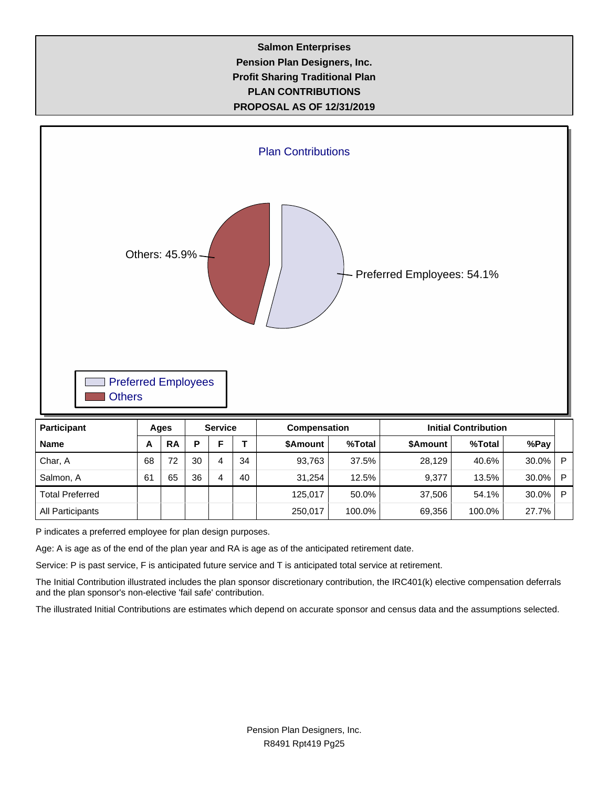## **Salmon Enterprises Pension Plan Designers, Inc. Profit Sharing Traditional Plan PLAN CONTRIBUTIONS PROPOSAL AS OF 12/31/2019**



| наше                   | $\mathbf{\mathsf{m}}$ | $\mathbf{A}$ |    |   |    | <b>JAILUULIL</b> | 70 I VLAT | <b>JAHUUHIL</b> | 70 I VLAI | лог ау |   |
|------------------------|-----------------------|--------------|----|---|----|------------------|-----------|-----------------|-----------|--------|---|
| Char, A                | 68                    | 72           | 30 | Δ | 34 | 93.763           | 37.5%     | 28.129          | 40.6%     | 30.0%  | D |
| Salmon, A              | 61                    | 65           | 36 | Δ | 40 | 31,254           | 12.5%     | 9,377           | 13.5%     | 30.0%  | D |
| <b>Total Preferred</b> |                       |              |    |   |    | 125.017          | 50.0%     | 37.506          | 54.1%     | 30.0%  | D |
| All Participants       |                       |              |    |   |    | 250,017          | 100.0%    | 69,356          | 100.0%    | 27.7%  |   |

P indicates a preferred employee for plan design purposes.

Age: A is age as of the end of the plan year and RA is age as of the anticipated retirement date.

Service: P is past service, F is anticipated future service and T is anticipated total service at retirement.

The Initial Contribution illustrated includes the plan sponsor discretionary contribution, the IRC401(k) elective compensation deferrals and the plan sponsor's non-elective 'fail safe' contribution.

The illustrated Initial Contributions are estimates which depend on accurate sponsor and census data and the assumptions selected.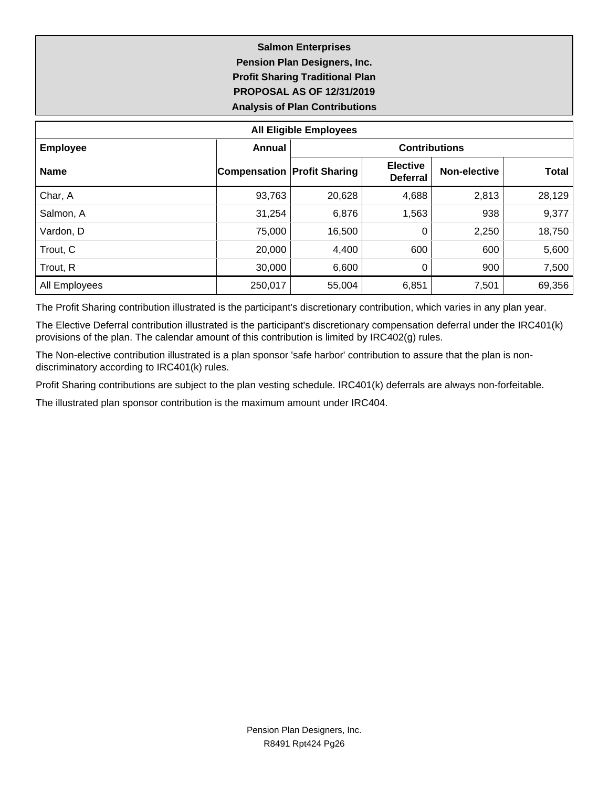## **Salmon Enterprises Pension Plan Designers, Inc. Profit Sharing Traditional Plan PROPOSAL AS OF 12/31/2019 Analysis of Plan Contributions**

| <b>All Eligible Employees</b> |                                    |                      |                                    |              |              |  |  |  |  |  |  |
|-------------------------------|------------------------------------|----------------------|------------------------------------|--------------|--------------|--|--|--|--|--|--|
| <b>Employee</b>               | Annual                             | <b>Contributions</b> |                                    |              |              |  |  |  |  |  |  |
| <b>Name</b>                   | <b>Compensation Profit Sharing</b> |                      | <b>Elective</b><br><b>Deferral</b> | Non-elective | <b>Total</b> |  |  |  |  |  |  |
| Char, A                       | 93,763                             | 20,628               | 4,688                              | 2,813        | 28,129       |  |  |  |  |  |  |
| Salmon, A                     | 31,254                             | 6,876                | 1,563                              | 938          | 9,377        |  |  |  |  |  |  |
| Vardon, D                     | 75,000                             | 16,500               | 0                                  | 2,250        | 18,750       |  |  |  |  |  |  |
| Trout, C                      | 20,000                             | 4,400                | 600                                | 600          | 5,600        |  |  |  |  |  |  |
| Trout, R                      | 30,000                             | 6,600                | 0                                  | 900          | 7,500        |  |  |  |  |  |  |
| All Employees                 | 250,017                            | 55,004               | 6,851                              | 7,501        | 69,356       |  |  |  |  |  |  |

The Profit Sharing contribution illustrated is the participant's discretionary contribution, which varies in any plan year.

The Elective Deferral contribution illustrated is the participant's discretionary compensation deferral under the IRC401(k) provisions of the plan. The calendar amount of this contribution is limited by IRC402(g) rules.

The Non-elective contribution illustrated is a plan sponsor 'safe harbor' contribution to assure that the plan is nondiscriminatory according to IRC401(k) rules.

Profit Sharing contributions are subject to the plan vesting schedule. IRC401(k) deferrals are always non-forfeitable.

The illustrated plan sponsor contribution is the maximum amount under IRC404.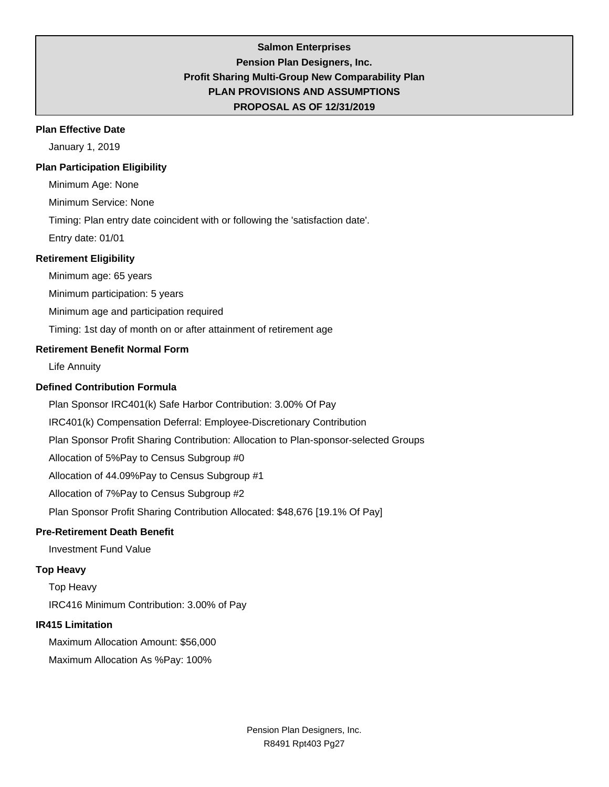## **Salmon Enterprises Pension Plan Designers, Inc. Profit Sharing Multi-Group New Comparability Plan PLAN PROVISIONS AND ASSUMPTIONS PROPOSAL AS OF 12/31/2019**

#### **Plan Effective Date**

January 1, 2019

#### **Plan Participation Eligibility**

Minimum Age: None

Minimum Service: None

Timing: Plan entry date coincident with or following the 'satisfaction date'.

Entry date: 01/01

### **Retirement Eligibility**

Minimum age: 65 years

Minimum participation: 5 years

Minimum age and participation required

Timing: 1st day of month on or after attainment of retirement age

### **Retirement Benefit Normal Form**

Life Annuity

### **Defined Contribution Formula**

Plan Sponsor IRC401(k) Safe Harbor Contribution: 3.00% Of Pay

IRC401(k) Compensation Deferral: Employee-Discretionary Contribution

Plan Sponsor Profit Sharing Contribution: Allocation to Plan-sponsor-selected Groups

Allocation of 5%Pay to Census Subgroup #0

Allocation of 44.09%Pay to Census Subgroup #1

Allocation of 7%Pay to Census Subgroup #2

Plan Sponsor Profit Sharing Contribution Allocated: \$48,676 [19.1% Of Pay]

#### **Pre-Retirement Death Benefit**

Investment Fund Value

### **Top Heavy**

Top Heavy IRC416 Minimum Contribution: 3.00% of Pay

#### **IR415 Limitation**

Maximum Allocation Amount: \$56,000

Maximum Allocation As %Pay: 100%

Pension Plan Designers, Inc. R8491 Rpt403 Pg27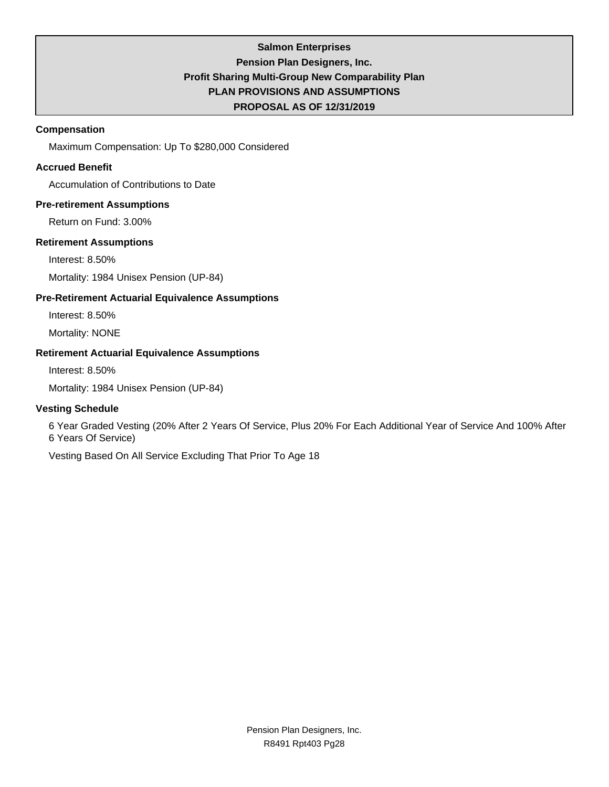## **Salmon Enterprises Pension Plan Designers, Inc. Profit Sharing Multi-Group New Comparability Plan PLAN PROVISIONS AND ASSUMPTIONS PROPOSAL AS OF 12/31/2019**

### **Compensation**

Maximum Compensation: Up To \$280,000 Considered

## **Accrued Benefit**

Accumulation of Contributions to Date

### **Pre-retirement Assumptions**

Return on Fund: 3.00%

### **Retirement Assumptions**

Interest: 8.50%

Mortality: 1984 Unisex Pension (UP-84)

## **Pre-Retirement Actuarial Equivalence Assumptions**

Interest: 8.50%

Mortality: NONE

### **Retirement Actuarial Equivalence Assumptions**

Interest: 8.50%

Mortality: 1984 Unisex Pension (UP-84)

## **Vesting Schedule**

6 Year Graded Vesting (20% After 2 Years Of Service, Plus 20% For Each Additional Year of Service And 100% After 6 Years Of Service)

Vesting Based On All Service Excluding That Prior To Age 18

Pension Plan Designers, Inc. R8491 Rpt403 Pg28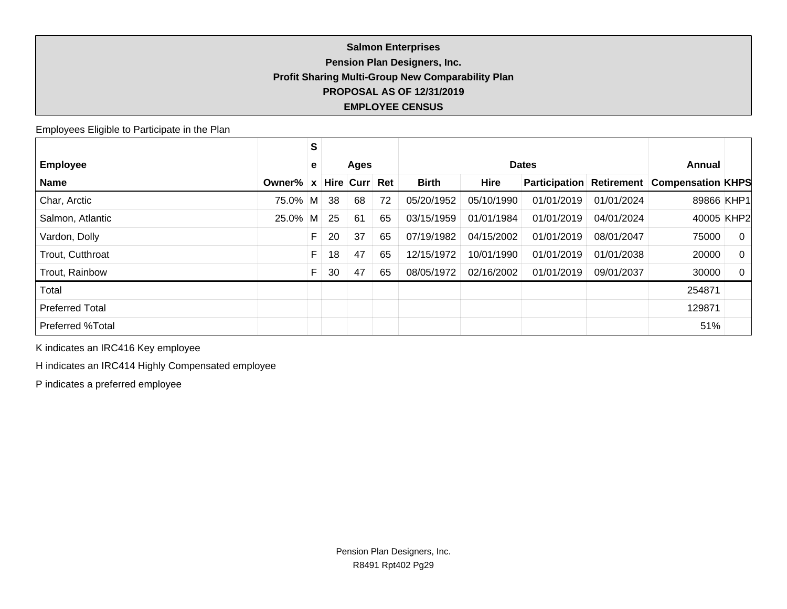## **Salmon Enterprises Pension Plan Designers, Inc. Profit Sharing Multi-Group New Comparability Plan PROPOSAL AS OF 12/31/2019 EMPLOYEE CENSUS**

Employees Eligible to Participate in the Plan

|                        |            | S            |    |             |     |              |              |               |                   |                          |                |
|------------------------|------------|--------------|----|-------------|-----|--------------|--------------|---------------|-------------------|--------------------------|----------------|
| <b>Employee</b>        |            | е            |    | <b>Ages</b> |     |              | <b>Dates</b> |               |                   |                          | Annual         |
| <b>Name</b>            | Owner%     | $\mathbf{x}$ |    | Hire Curr   | Ret | <b>Birth</b> | <b>Hire</b>  | Participation | <b>Retirement</b> | <b>Compensation KHPS</b> |                |
| Char, Arctic           | 75.0% M    |              | 38 | 68          | 72  | 05/20/1952   | 05/10/1990   | 01/01/2019    | 01/01/2024        | 89866 KHP1               |                |
| Salmon, Atlantic       | $25.0\%$ M |              | 25 | 61          | 65  | 03/15/1959   | 01/01/1984   | 01/01/2019    | 04/01/2024        | 40005 KHP2               |                |
| Vardon, Dolly          |            | F            | 20 | 37          | 65  | 07/19/1982   | 04/15/2002   | 01/01/2019    | 08/01/2047        | 75000                    | $\overline{0}$ |
| Trout, Cutthroat       |            | F            | 18 | 47          | 65  | 12/15/1972   | 10/01/1990   | 01/01/2019    | 01/01/2038        | 20000                    | $\Omega$       |
| Trout, Rainbow         |            |              | 30 | 47          | 65  | 08/05/1972   | 02/16/2002   | 01/01/2019    | 09/01/2037        | 30000                    | $\Omega$       |
| Total                  |            |              |    |             |     |              |              |               |                   | 254871                   |                |
| <b>Preferred Total</b> |            |              |    |             |     |              |              |               |                   | 129871                   |                |
| Preferred %Total       |            |              |    |             |     |              |              |               |                   | 51%                      |                |

K indicates an IRC416 Key employee

H indicates an IRC414 Highly Compensated employee

P indicates a preferred employee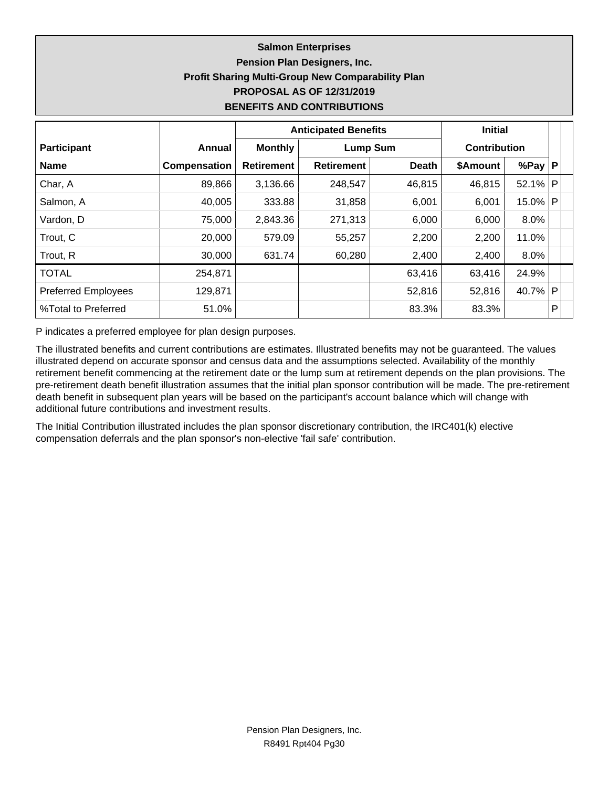## **Salmon Enterprises Pension Plan Designers, Inc. Profit Sharing Multi-Group New Comparability Plan PROPOSAL AS OF 12/31/2019 BENEFITS AND CONTRIBUTIONS**

|                            |              |                   | <b>Anticipated Benefits</b> | <b>Initial</b> |                     |            |              |  |
|----------------------------|--------------|-------------------|-----------------------------|----------------|---------------------|------------|--------------|--|
| <b>Participant</b>         | Annual       | <b>Monthly</b>    | <b>Lump Sum</b>             |                | <b>Contribution</b> |            |              |  |
| <b>Name</b>                | Compensation | <b>Retirement</b> | <b>Retirement</b>           | <b>Death</b>   | \$Amount            | %Pay $ P $ |              |  |
| Char, A                    | 89,866       | 3,136.66          | 248,547                     | 46,815         | 46,815              | 52.1%      | P            |  |
| Salmon, A                  | 40,005       | 333.88            | 31,858                      | 6,001          | 6,001               | 15.0%      | $\mathsf{P}$ |  |
| Vardon, D                  | 75,000       | 2,843.36          | 271,313                     | 6,000          | 6,000               | 8.0%       |              |  |
| Trout, C                   | 20,000       | 579.09            | 55,257                      | 2,200          | 2,200               | 11.0%      |              |  |
| Trout, R                   | 30,000       | 631.74            | 60,280                      | 2,400          | 2,400               | 8.0%       |              |  |
| <b>TOTAL</b>               | 254,871      |                   |                             | 63,416         | 63,416              | 24.9%      |              |  |
| <b>Preferred Employees</b> | 129,871      |                   |                             | 52,816         | 52,816              | 40.7%      | P            |  |
| %Total to Preferred        | 51.0%        |                   |                             | 83.3%          | 83.3%               |            | P            |  |

P indicates a preferred employee for plan design purposes.

The illustrated benefits and current contributions are estimates. Illustrated benefits may not be guaranteed. The values illustrated depend on accurate sponsor and census data and the assumptions selected. Availability of the monthly retirement benefit commencing at the retirement date or the lump sum at retirement depends on the plan provisions. The pre-retirement death benefit illustration assumes that the initial plan sponsor contribution will be made. The pre-retirement death benefit in subsequent plan years will be based on the participant's account balance which will change with additional future contributions and investment results.

The Initial Contribution illustrated includes the plan sponsor discretionary contribution, the IRC401(k) elective compensation deferrals and the plan sponsor's non-elective 'fail safe' contribution.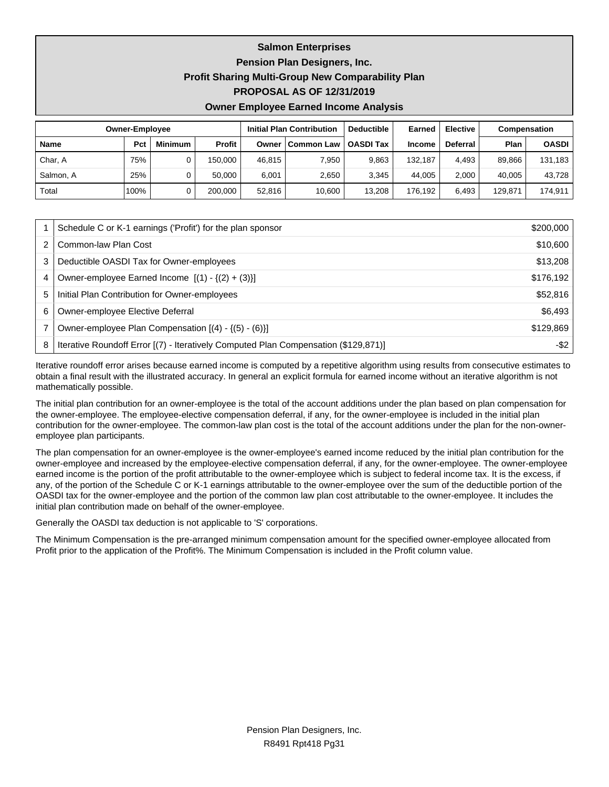**Salmon Enterprises**

**Pension Plan Designers, Inc.**

### **Profit Sharing Multi-Group New Comparability Plan**

**PROPOSAL AS OF 12/31/2019**

#### **Owner Employee Earned Income Analysis**

|             | <b>Owner-Employee</b> |                |               |        | <b>Initial Plan Contribution</b> | <b>Deductible</b> | Earned        | <b>Elective</b> | Compensation |              |
|-------------|-----------------------|----------------|---------------|--------|----------------------------------|-------------------|---------------|-----------------|--------------|--------------|
| <b>Name</b> | Pct                   | <b>Minimum</b> | <b>Profit</b> | Owner  | Common Law                       | <b>OASDI Tax</b>  | <b>Income</b> | <b>Deferral</b> | Plan         | <b>OASDI</b> |
| Char, A     | 75%                   |                | 150.000       | 46.815 | 7.950                            | 9.863             | 132.187       | 4.493           | 89.866       | 131.183      |
| Salmon, A   | 25%                   |                | 50.000        | 6.001  | 2,650                            | 3.345             | 44.005        | 2.000           | 40.005       | 43.728       |
| Total       | 100%                  |                | 200.000       | 52.816 | 10.600                           | 13,208            | 176.192       | 6.493           | 129,871      | 174,911      |

|   | Schedule C or K-1 earnings ('Profit') for the plan sponsor                          | \$200,000 |
|---|-------------------------------------------------------------------------------------|-----------|
|   | Common-law Plan Cost                                                                | \$10,600  |
| 3 | Deductible OASDI Tax for Owner-employees                                            | \$13,208  |
| 4 | Owner-employee Earned Income $[(1) - \{(2) + (3)\}]$                                | \$176,192 |
| 5 | Initial Plan Contribution for Owner-employees                                       | \$52,816  |
| 6 | Owner-employee Elective Deferral                                                    | \$6,493   |
|   | Owner-employee Plan Compensation [(4) - {(5) - (6)}]                                | \$129,869 |
| 8 | Iterative Roundoff Error [(7) - Iteratively Computed Plan Compensation (\$129,871)] | -\$2      |

Iterative roundoff error arises because earned income is computed by a repetitive algorithm using results from consecutive estimates to obtain a final result with the illustrated accuracy. In general an explicit formula for earned income without an iterative algorithm is not mathematically possible.

The initial plan contribution for an owner-employee is the total of the account additions under the plan based on plan compensation for the owner-employee. The employee-elective compensation deferral, if any, for the owner-employee is included in the initial plan contribution for the owner-employee. The common-law plan cost is the total of the account additions under the plan for the non-owneremployee plan participants.

The plan compensation for an owner-employee is the owner-employee's earned income reduced by the initial plan contribution for the owner-employee and increased by the employee-elective compensation deferral, if any, for the owner-employee. The owner-employee earned income is the portion of the profit attributable to the owner-employee which is subject to federal income tax. It is the excess, if any, of the portion of the Schedule C or K-1 earnings attributable to the owner-employee over the sum of the deductible portion of the OASDI tax for the owner-employee and the portion of the common law plan cost attributable to the owner-employee. It includes the initial plan contribution made on behalf of the owner-employee.

Generally the OASDI tax deduction is not applicable to 'S' corporations.

The Minimum Compensation is the pre-arranged minimum compensation amount for the specified owner-employee allocated from Profit prior to the application of the Profit%. The Minimum Compensation is included in the Profit column value.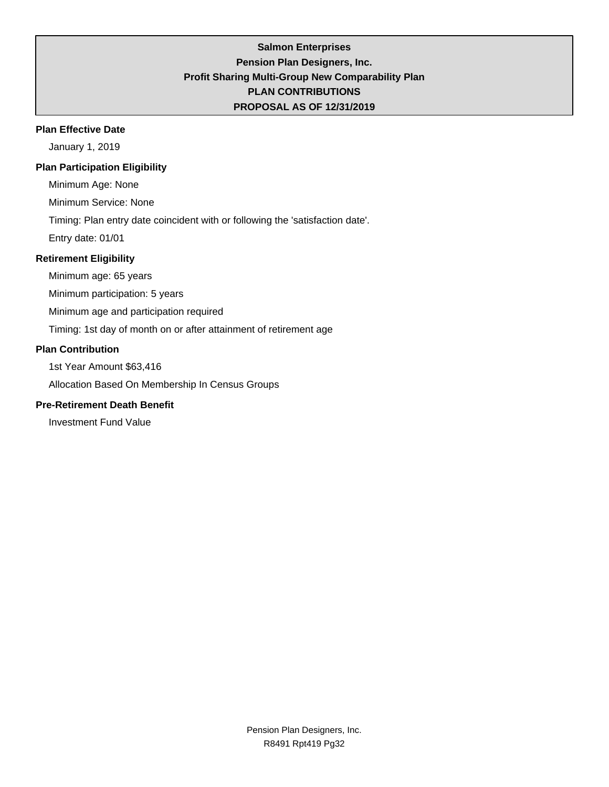## **Salmon Enterprises Pension Plan Designers, Inc. Profit Sharing Multi-Group New Comparability Plan PLAN CONTRIBUTIONS PROPOSAL AS OF 12/31/2019**

### **Plan Effective Date**

January 1, 2019

## **Plan Participation Eligibility**

Minimum Age: None

Minimum Service: None

Timing: Plan entry date coincident with or following the 'satisfaction date'.

Entry date: 01/01

## **Retirement Eligibility**

Minimum age: 65 years

Minimum participation: 5 years

Minimum age and participation required

Timing: 1st day of month on or after attainment of retirement age

### **Plan Contribution**

1st Year Amount \$63,416

Allocation Based On Membership In Census Groups

## **Pre-Retirement Death Benefit**

Investment Fund Value

Pension Plan Designers, Inc. R8491 Rpt419 Pg32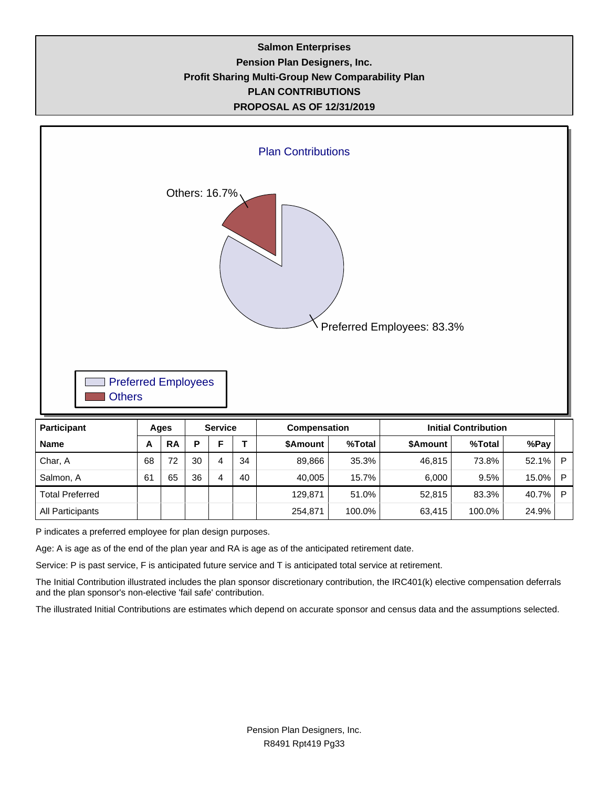## **Salmon Enterprises Pension Plan Designers, Inc. Profit Sharing Multi-Group New Comparability Plan PLAN CONTRIBUTIONS PROPOSAL AS OF 12/31/2019**



P indicates a preferred employee for plan design purposes.

Age: A is age as of the end of the plan year and RA is age as of the anticipated retirement date.

Service: P is past service, F is anticipated future service and T is anticipated total service at retirement.

The Initial Contribution illustrated includes the plan sponsor discretionary contribution, the IRC401(k) elective compensation deferrals and the plan sponsor's non-elective 'fail safe' contribution.

Total Preferred 129,871 51.0% 52,815 83.3% 40.7% P All Participants | | | | | | 254,871 | 100.0% 63,415 | 100.0% 24.9%

The illustrated Initial Contributions are estimates which depend on accurate sponsor and census data and the assumptions selected.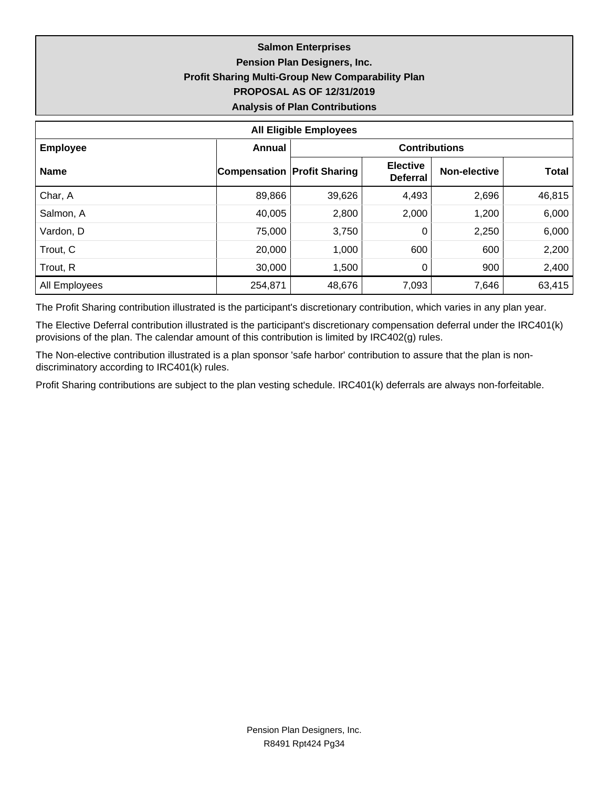## **Salmon Enterprises Pension Plan Designers, Inc. Profit Sharing Multi-Group New Comparability Plan PROPOSAL AS OF 12/31/2019 Analysis of Plan Contributions**

| <b>All Eligible Employees</b> |                                    |                      |                                    |              |              |  |  |  |  |  |
|-------------------------------|------------------------------------|----------------------|------------------------------------|--------------|--------------|--|--|--|--|--|
| <b>Employee</b>               | <b>Annual</b>                      | <b>Contributions</b> |                                    |              |              |  |  |  |  |  |
| <b>Name</b>                   | <b>Compensation Profit Sharing</b> |                      | <b>Elective</b><br><b>Deferral</b> | Non-elective | <b>Total</b> |  |  |  |  |  |
| Char, A                       | 89,866                             | 39,626               | 4,493                              | 2,696        | 46,815       |  |  |  |  |  |
| Salmon, A                     | 40,005                             | 2,800                | 2,000                              | 1,200        | 6,000        |  |  |  |  |  |
| Vardon, D                     | 75,000                             | 3,750                | 0                                  | 2,250        | 6,000        |  |  |  |  |  |
| Trout, C                      | 20,000                             | 1,000                | 600                                | 600          | 2,200        |  |  |  |  |  |
| Trout, R                      | 30,000                             | 1,500                | 0                                  | 900          | 2,400        |  |  |  |  |  |
| All Employees                 | 254,871                            | 48,676               | 7,093                              | 7,646        | 63,415       |  |  |  |  |  |

The Profit Sharing contribution illustrated is the participant's discretionary contribution, which varies in any plan year.

The Elective Deferral contribution illustrated is the participant's discretionary compensation deferral under the IRC401(k) provisions of the plan. The calendar amount of this contribution is limited by IRC402(g) rules.

The Non-elective contribution illustrated is a plan sponsor 'safe harbor' contribution to assure that the plan is nondiscriminatory according to IRC401(k) rules.

Profit Sharing contributions are subject to the plan vesting schedule. IRC401(k) deferrals are always non-forfeitable.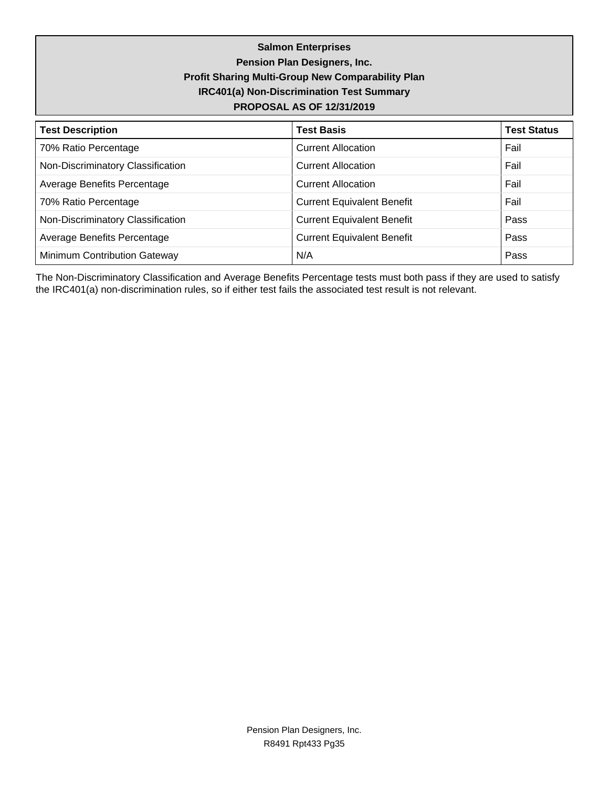**Salmon Enterprises Pension Plan Designers, Inc. Profit Sharing Multi-Group New Comparability Plan IRC401(a) Non-Discrimination Test Summary PROPOSAL AS OF 12/31/2019**

| <b>Test Description</b>           | <b>Test Basis</b>                 | <b>Test Status</b> |
|-----------------------------------|-----------------------------------|--------------------|
| 70% Ratio Percentage              | <b>Current Allocation</b>         | Fail               |
| Non-Discriminatory Classification | <b>Current Allocation</b>         | Fail               |
| Average Benefits Percentage       | <b>Current Allocation</b>         | Fail               |
| 70% Ratio Percentage              | <b>Current Equivalent Benefit</b> | Fail               |
| Non-Discriminatory Classification | <b>Current Equivalent Benefit</b> | Pass               |
| Average Benefits Percentage       | <b>Current Equivalent Benefit</b> | Pass               |
| Minimum Contribution Gateway      | N/A                               | Pass               |

The Non-Discriminatory Classification and Average Benefits Percentage tests must both pass if they are used to satisfy the IRC401(a) non-discrimination rules, so if either test fails the associated test result is not relevant.

> Pension Plan Designers, Inc. R8491 Rpt433 Pg35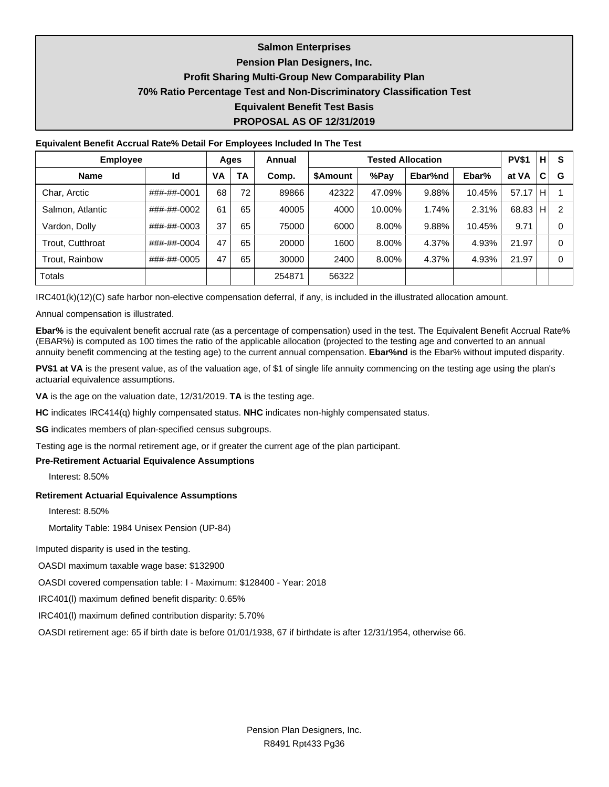### **Salmon Enterprises**

## **Pension Plan Designers, Inc.**

### **Profit Sharing Multi-Group New Comparability Plan**

### **70% Ratio Percentage Test and Non-Discriminatory Classification Test**

#### **Equivalent Benefit Test Basis**

### **PROPOSAL AS OF 12/31/2019**

#### **Equivalent Benefit Accrual Rate% Detail For Employees Included In The Test**

| <b>Employee</b>         |             | Ages |    | Annual |                 | <b>Tested Allocation</b> |         |        |       |    | S              |
|-------------------------|-------------|------|----|--------|-----------------|--------------------------|---------|--------|-------|----|----------------|
| <b>Name</b>             | Id          | VA   | TA | Comp.  | <b>\$Amount</b> | %Pay                     | Ebar%nd | Ebar%  | at VA | C  | G              |
| Char, Arctic            | ###-##-0001 | 68   | 72 | 89866  | 42322           | 47.09%                   | 9.88%   | 10.45% | 57.17 | H  |                |
| Salmon, Atlantic        | ###-##-0002 | 61   | 65 | 40005  | 4000            | 10.00%                   | 1.74%   | 2.31%  | 68.83 | H. | $\mathfrak{p}$ |
| Vardon, Dolly           | ###-##-0003 | 37   | 65 | 75000  | 6000            | 8.00%                    | 9.88%   | 10.45% | 9.71  |    | 0              |
| <b>Trout. Cutthroat</b> | ###-##-0004 | 47   | 65 | 20000  | 1600            | 8.00%                    | 4.37%   | 4.93%  | 21.97 |    | 0              |
| Trout, Rainbow          | ###-##-0005 | 47   | 65 | 30000  | 2400            | 8.00%                    | 4.37%   | 4.93%  | 21.97 |    | 0              |
| <b>Totals</b>           |             |      |    | 254871 | 56322           |                          |         |        |       |    |                |

IRC401(k)(12)(C) safe harbor non-elective compensation deferral, if any, is included in the illustrated allocation amount.

Annual compensation is illustrated.

**Ebar%** is the equivalent benefit accrual rate (as a percentage of compensation) used in the test. The Equivalent Benefit Accrual Rate% (EBAR%) is computed as 100 times the ratio of the applicable allocation (projected to the testing age and converted to an annual annuity benefit commencing at the testing age) to the current annual compensation. **Ebar%nd** is the Ebar% without imputed disparity.

PV\$1 at VA is the present value, as of the valuation age, of \$1 of single life annuity commencing on the testing age using the plan's actuarial equivalence assumptions.

**VA** is the age on the valuation date, 12/31/2019. **TA** is the testing age.

**HC** indicates IRC414(q) highly compensated status. **NHC** indicates non-highly compensated status.

**SG** indicates members of plan-specified census subgroups.

Testing age is the normal retirement age, or if greater the current age of the plan participant.

#### **Pre-Retirement Actuarial Equivalence Assumptions**

Interest: 8.50%

#### **Retirement Actuarial Equivalence Assumptions**

Interest: 8.50%

Mortality Table: 1984 Unisex Pension (UP-84)

Imputed disparity is used in the testing.

OASDI maximum taxable wage base: \$132900

OASDI covered compensation table: I - Maximum: \$128400 - Year: 2018

IRC401(l) maximum defined benefit disparity: 0.65%

IRC401(l) maximum defined contribution disparity: 5.70%

OASDI retirement age: 65 if birth date is before 01/01/1938, 67 if birthdate is after 12/31/1954, otherwise 66.

Pension Plan Designers, Inc. R8491 Rpt433 Pg36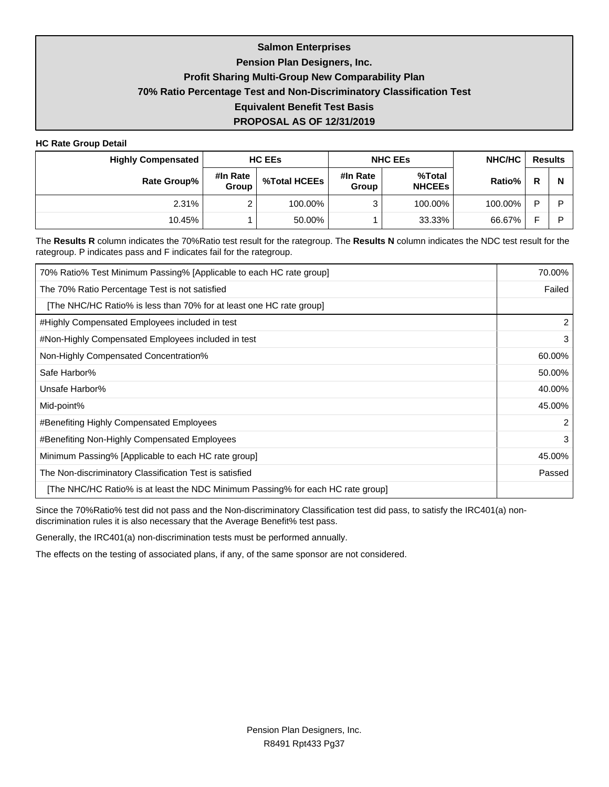## **Salmon Enterprises Pension Plan Designers, Inc. Profit Sharing Multi-Group New Comparability Plan 70% Ratio Percentage Test and Non-Discriminatory Classification Test Equivalent Benefit Test Basis PROPOSAL AS OF 12/31/2019**

#### **HC Rate Group Detail**

| <b>Highly Compensated</b> |                   | <b>HC EES</b> |                          | <b>NHC EES</b>          | NHC/HC  | <b>Results</b> |   |
|---------------------------|-------------------|---------------|--------------------------|-------------------------|---------|----------------|---|
| Rate Group%               | #In Rate<br>Group | %Total HCEEs  | #In Rate<br><b>Group</b> | %Total<br><b>NHCEES</b> | Ratio%  | R              | N |
| 2.31%                     |                   | 100.00%       | ີ                        | 100.00%                 | 100.00% | D              | ם |
| 10.45%                    |                   | 50.00%        |                          | 33.33%                  | 66.67%  | -              | ח |

The **Results R** column indicates the 70%Ratio test result for the rategroup. The **Results N** column indicates the NDC test result for the rategroup. P indicates pass and F indicates fail for the rategroup.

| 70% Ratio% Test Minimum Passing% [Applicable to each HC rate group]             | 70.00% |
|---------------------------------------------------------------------------------|--------|
| The 70% Ratio Percentage Test is not satisfied                                  | Failed |
| [The NHC/HC Ratio% is less than 70% for at least one HC rate group]             |        |
| #Highly Compensated Employees included in test                                  | 2      |
| #Non-Highly Compensated Employees included in test                              | 3      |
| Non-Highly Compensated Concentration%                                           | 60.00% |
| Safe Harbor%                                                                    | 50.00% |
| Unsafe Harbor%                                                                  | 40.00% |
| Mid-point%                                                                      | 45.00% |
| #Benefiting Highly Compensated Employees                                        | 2      |
| #Benefiting Non-Highly Compensated Employees                                    | 3      |
| Minimum Passing% [Applicable to each HC rate group]                             | 45.00% |
| The Non-discriminatory Classification Test is satisfied                         | Passed |
| [The NHC/HC Ratio% is at least the NDC Minimum Passing% for each HC rate group] |        |

Since the 70%Ratio% test did not pass and the Non-discriminatory Classification test did pass, to satisfy the IRC401(a) nondiscrimination rules it is also necessary that the Average Benefit% test pass.

Generally, the IRC401(a) non-discrimination tests must be performed annually.

The effects on the testing of associated plans, if any, of the same sponsor are not considered.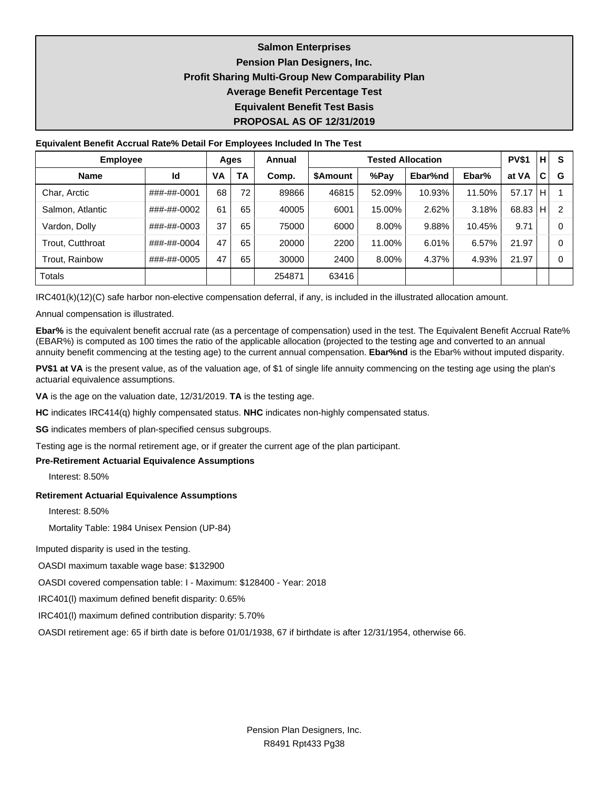## **Salmon Enterprises Pension Plan Designers, Inc. Profit Sharing Multi-Group New Comparability Plan Average Benefit Percentage Test Equivalent Benefit Test Basis PROPOSAL AS OF 12/31/2019**

#### **Equivalent Benefit Accrual Rate% Detail For Employees Included In The Test**

| <b>Employee</b>         |             | Ages |           | Annual |          |        | <b>PV\$1</b> | H      | S     |     |   |
|-------------------------|-------------|------|-----------|--------|----------|--------|--------------|--------|-------|-----|---|
| <b>Name</b>             | Id          | VA   | <b>TA</b> | Comp.  | \$Amount | %Pay   | Ebar%nd      | Ebar%  | at VA | C   | G |
| Char, Arctic            | ###-##-0001 | 68   | 72        | 89866  | 46815    | 52.09% | 10.93%       | 11.50% | 57.17 | ΙH. |   |
| Salmon, Atlantic        | ###-##-0002 | 61   | 65        | 40005  | 6001     | 15.00% | 2.62%        | 3.18%  | 68.83 | ٠H  | 2 |
| Vardon, Dolly           | ###-##-0003 | 37   | 65        | 75000  | 6000     | 8.00%  | 9.88%        | 10.45% | 9.71  |     | 0 |
| <b>Trout. Cutthroat</b> | ###-##-0004 | 47   | 65        | 20000  | 2200     | 11.00% | 6.01%        | 6.57%  | 21.97 |     | 0 |
| Trout, Rainbow          | ###-##-0005 | 47   | 65        | 30000  | 2400     | 8.00%  | 4.37%        | 4.93%  | 21.97 |     | 0 |
| <b>Totals</b>           |             |      |           | 254871 | 63416    |        |              |        |       |     |   |

IRC401(k)(12)(C) safe harbor non-elective compensation deferral, if any, is included in the illustrated allocation amount.

Annual compensation is illustrated.

**Ebar%** is the equivalent benefit accrual rate (as a percentage of compensation) used in the test. The Equivalent Benefit Accrual Rate% (EBAR%) is computed as 100 times the ratio of the applicable allocation (projected to the testing age and converted to an annual annuity benefit commencing at the testing age) to the current annual compensation. **Ebar%nd** is the Ebar% without imputed disparity.

**PV\$1 at VA** is the present value, as of the valuation age, of \$1 of single life annuity commencing on the testing age using the plan's actuarial equivalence assumptions.

**VA** is the age on the valuation date, 12/31/2019. **TA** is the testing age.

**HC** indicates IRC414(q) highly compensated status. **NHC** indicates non-highly compensated status.

**SG** indicates members of plan-specified census subgroups.

Testing age is the normal retirement age, or if greater the current age of the plan participant.

#### **Pre-Retirement Actuarial Equivalence Assumptions**

Interest: 8.50%

#### **Retirement Actuarial Equivalence Assumptions**

Interest: 8.50%

Mortality Table: 1984 Unisex Pension (UP-84)

Imputed disparity is used in the testing.

OASDI maximum taxable wage base: \$132900

OASDI covered compensation table: I - Maximum: \$128400 - Year: 2018

IRC401(l) maximum defined benefit disparity: 0.65%

IRC401(l) maximum defined contribution disparity: 5.70%

OASDI retirement age: 65 if birth date is before 01/01/1938, 67 if birthdate is after 12/31/1954, otherwise 66.

Pension Plan Designers, Inc. R8491 Rpt433 Pg38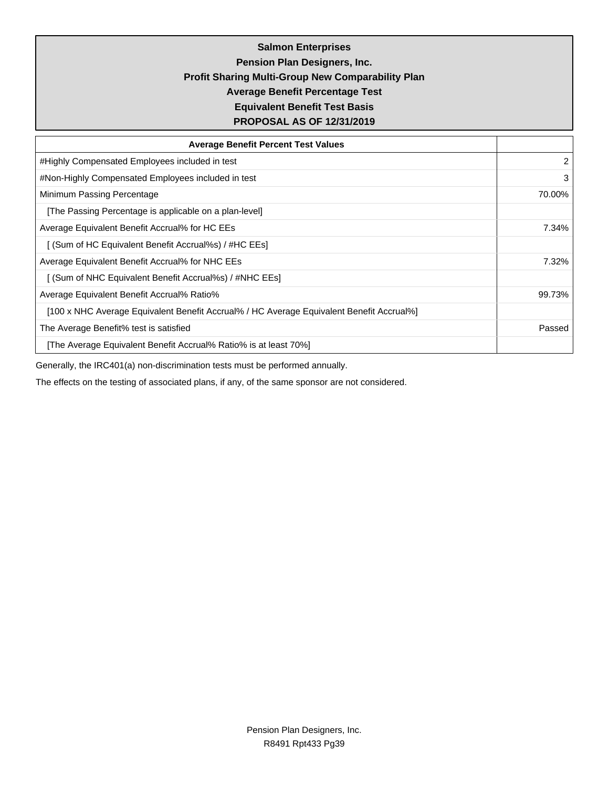**Salmon Enterprises Pension Plan Designers, Inc. Profit Sharing Multi-Group New Comparability Plan Average Benefit Percentage Test Equivalent Benefit Test Basis PROPOSAL AS OF 12/31/2019**

| <b>Average Benefit Percent Test Values</b>                                               |        |  |  |  |  |
|------------------------------------------------------------------------------------------|--------|--|--|--|--|
| #Highly Compensated Employees included in test                                           | 2      |  |  |  |  |
| #Non-Highly Compensated Employees included in test                                       | 3      |  |  |  |  |
| Minimum Passing Percentage                                                               | 70.00% |  |  |  |  |
| [The Passing Percentage is applicable on a plan-level]                                   |        |  |  |  |  |
| Average Equivalent Benefit Accrual% for HC EEs                                           |        |  |  |  |  |
| [ (Sum of HC Equivalent Benefit Accrual%s) / #HC EEs]                                    |        |  |  |  |  |
| Average Equivalent Benefit Accrual% for NHC EEs                                          | 7.32%  |  |  |  |  |
| [ (Sum of NHC Equivalent Benefit Accrual%s) / #NHC EEs]                                  |        |  |  |  |  |
| Average Equivalent Benefit Accrual% Ratio%                                               | 99.73% |  |  |  |  |
| [100 x NHC Average Equivalent Benefit Accrual% / HC Average Equivalent Benefit Accrual%] |        |  |  |  |  |
| The Average Benefit% test is satisfied                                                   | Passed |  |  |  |  |
| [The Average Equivalent Benefit Accrual% Ratio% is at least 70%]                         |        |  |  |  |  |

Generally, the IRC401(a) non-discrimination tests must be performed annually.

The effects on the testing of associated plans, if any, of the same sponsor are not considered.

Pension Plan Designers, Inc. R8491 Rpt433 Pg39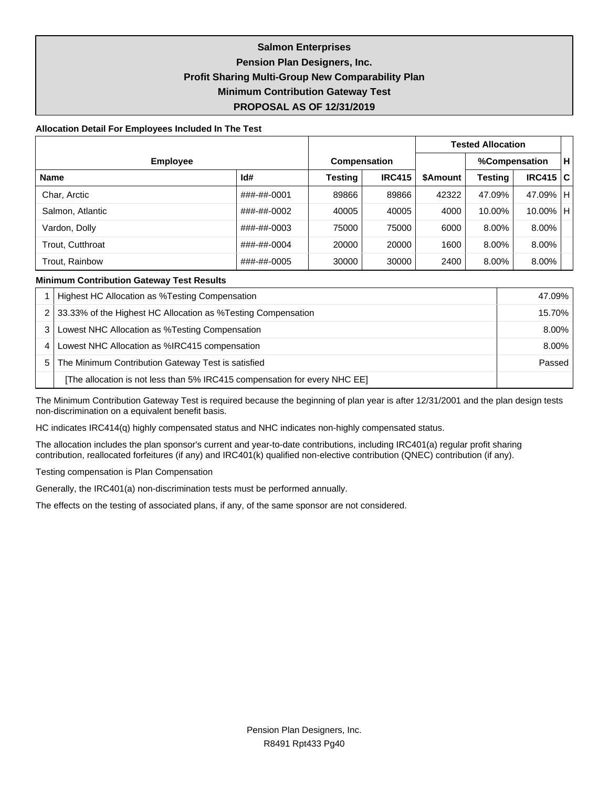## **Salmon Enterprises Pension Plan Designers, Inc. Profit Sharing Multi-Group New Comparability Plan Minimum Contribution Gateway Test PROPOSAL AS OF 12/31/2019**

#### **Allocation Detail For Employees Included In The Test**

|                  |             |                     |               |                 | <b>Tested Allocation</b> |               |  |
|------------------|-------------|---------------------|---------------|-----------------|--------------------------|---------------|--|
| <b>Employee</b>  |             | <b>Compensation</b> |               | %Compensation   |                          |               |  |
| <b>Name</b>      | Id#         | Testing             | <b>IRC415</b> | <b>\$Amount</b> | Testing                  | IRC415 C      |  |
| Char, Arctic     | ###-##-0001 | 89866               | 89866         | 42322           | 47.09%                   | 47.09% H      |  |
| Salmon, Atlantic | ###-##-0002 | 40005               | 40005         | 4000            | 10.00%                   | $10.00\%$   H |  |
| Vardon, Dolly    | ###-##-0003 | 75000               | 75000         | 6000            | 8.00%                    | 8.00%         |  |
| Trout, Cutthroat | ###-##-0004 | 20000               | 20000         | 1600            | 8.00%                    | 8.00%         |  |
| Trout, Rainbow   | ###-##-0005 | 30000               | 30000         | 2400            | 8.00%                    | 8.00%         |  |

#### **Minimum Contribution Gateway Test Results**

|   | Highest HC Allocation as %Testing Compensation                            | 47.09% |
|---|---------------------------------------------------------------------------|--------|
|   | 33.33% of the Highest HC Allocation as %Testing Compensation              | 15.70% |
|   | Lowest NHC Allocation as %Testing Compensation                            | 8.00%  |
| 4 | Lowest NHC Allocation as %IRC415 compensation                             | 8.00%  |
| 5 | The Minimum Contribution Gateway Test is satisfied                        | Passed |
|   | [The allocation is not less than 5% IRC415 compensation for every NHC EE] |        |

The Minimum Contribution Gateway Test is required because the beginning of plan year is after 12/31/2001 and the plan design tests non-discrimination on a equivalent benefit basis.

HC indicates IRC414(q) highly compensated status and NHC indicates non-highly compensated status.

The allocation includes the plan sponsor's current and year-to-date contributions, including IRC401(a) regular profit sharing contribution, reallocated forfeitures (if any) and IRC401(k) qualified non-elective contribution (QNEC) contribution (if any).

Testing compensation is Plan Compensation

Generally, the IRC401(a) non-discrimination tests must be performed annually.

The effects on the testing of associated plans, if any, of the same sponsor are not considered.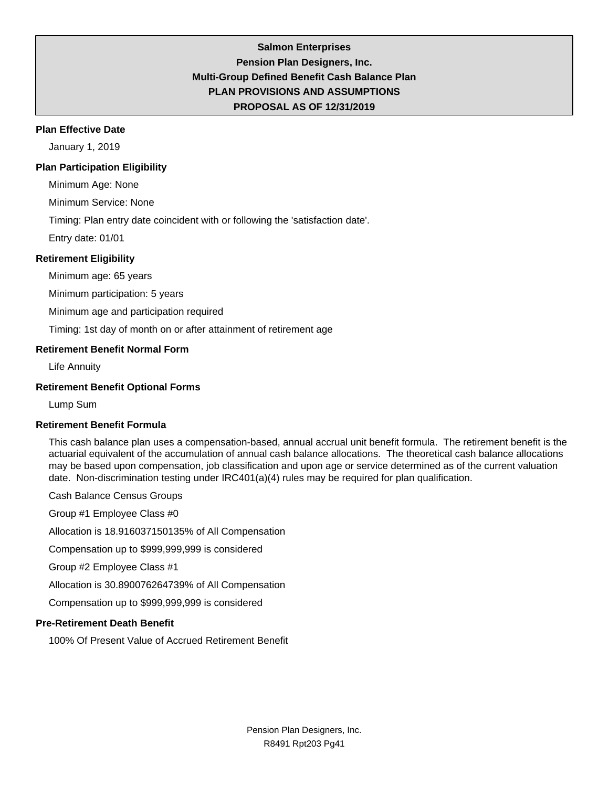## **Salmon Enterprises Pension Plan Designers, Inc. Multi-Group Defined Benefit Cash Balance Plan PLAN PROVISIONS AND ASSUMPTIONS PROPOSAL AS OF 12/31/2019**

### **Plan Effective Date**

January 1, 2019

### **Plan Participation Eligibility**

Minimum Age: None

Minimum Service: None

Timing: Plan entry date coincident with or following the 'satisfaction date'.

Entry date: 01/01

### **Retirement Eligibility**

Minimum age: 65 years

Minimum participation: 5 years

Minimum age and participation required

Timing: 1st day of month on or after attainment of retirement age

### **Retirement Benefit Normal Form**

Life Annuity

### **Retirement Benefit Optional Forms**

Lump Sum

### **Retirement Benefit Formula**

This cash balance plan uses a compensation-based, annual accrual unit benefit formula. The retirement benefit is the actuarial equivalent of the accumulation of annual cash balance allocations. The theoretical cash balance allocations may be based upon compensation, job classification and upon age or service determined as of the current valuation date. Non-discrimination testing under IRC401(a)(4) rules may be required for plan qualification.

Cash Balance Census Groups

Group #1 Employee Class #0

Allocation is 18.916037150135% of All Compensation

Compensation up to \$999,999,999 is considered

Group #2 Employee Class #1

Allocation is 30.890076264739% of All Compensation

Compensation up to \$999,999,999 is considered

## **Pre-Retirement Death Benefit**

100% Of Present Value of Accrued Retirement Benefit

Pension Plan Designers, Inc. R8491 Rpt203 Pg41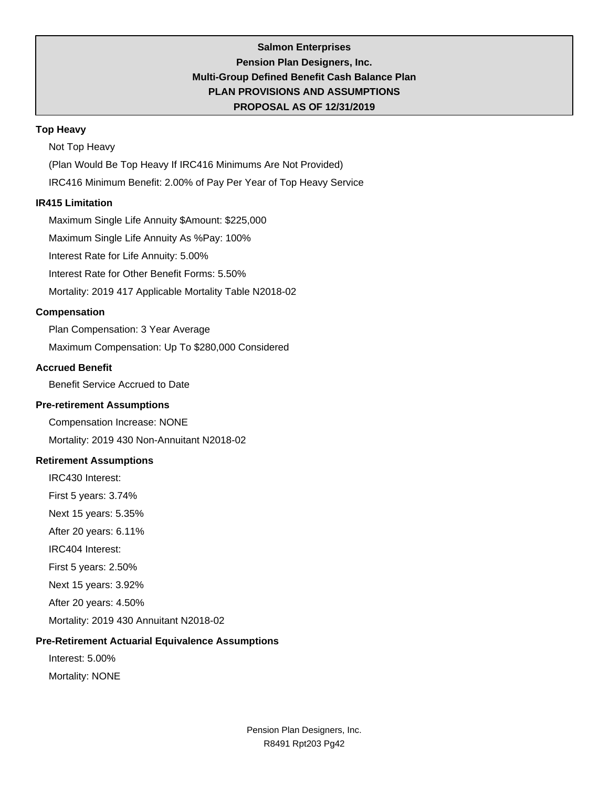## **Salmon Enterprises Pension Plan Designers, Inc. Multi-Group Defined Benefit Cash Balance Plan PLAN PROVISIONS AND ASSUMPTIONS PROPOSAL AS OF 12/31/2019**

### **Top Heavy**

Not Top Heavy

(Plan Would Be Top Heavy If IRC416 Minimums Are Not Provided)

IRC416 Minimum Benefit: 2.00% of Pay Per Year of Top Heavy Service

### **IR415 Limitation**

Maximum Single Life Annuity \$Amount: \$225,000

Maximum Single Life Annuity As %Pay: 100%

Interest Rate for Life Annuity: 5.00%

Interest Rate for Other Benefit Forms: 5.50%

Mortality: 2019 417 Applicable Mortality Table N2018-02

## **Compensation**

Plan Compensation: 3 Year Average

Maximum Compensation: Up To \$280,000 Considered

## **Accrued Benefit**

Benefit Service Accrued to Date

## **Pre-retirement Assumptions**

Compensation Increase: NONE

Mortality: 2019 430 Non-Annuitant N2018-02

### **Retirement Assumptions**

IRC430 Interest:

First 5 years: 3.74%

Next 15 years: 5.35%

After 20 years: 6.11%

IRC404 Interest:

First 5 years: 2.50%

Next 15 years: 3.92%

After 20 years: 4.50%

Mortality: 2019 430 Annuitant N2018-02

## **Pre-Retirement Actuarial Equivalence Assumptions**

Interest: 5.00%

Mortality: NONE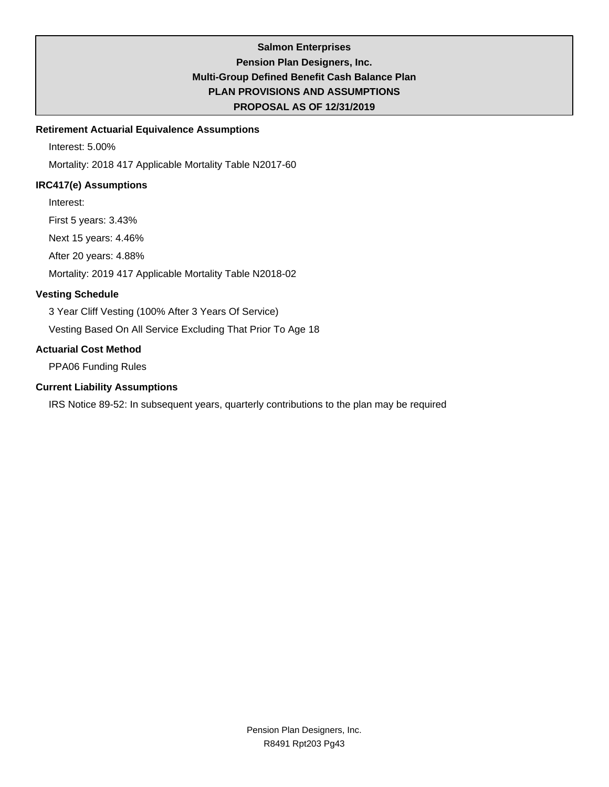## **Salmon Enterprises Pension Plan Designers, Inc. Multi-Group Defined Benefit Cash Balance Plan PLAN PROVISIONS AND ASSUMPTIONS PROPOSAL AS OF 12/31/2019**

## **Retirement Actuarial Equivalence Assumptions**

Interest: 5.00%

Mortality: 2018 417 Applicable Mortality Table N2017-60

## **IRC417(e) Assumptions**

Interest:

First 5 years: 3.43%

Next 15 years: 4.46%

After 20 years: 4.88%

Mortality: 2019 417 Applicable Mortality Table N2018-02

## **Vesting Schedule**

3 Year Cliff Vesting (100% After 3 Years Of Service)

Vesting Based On All Service Excluding That Prior To Age 18

## **Actuarial Cost Method**

PPA06 Funding Rules

### **Current Liability Assumptions**

IRS Notice 89-52: In subsequent years, quarterly contributions to the plan may be required

Pension Plan Designers, Inc. R8491 Rpt203 Pg43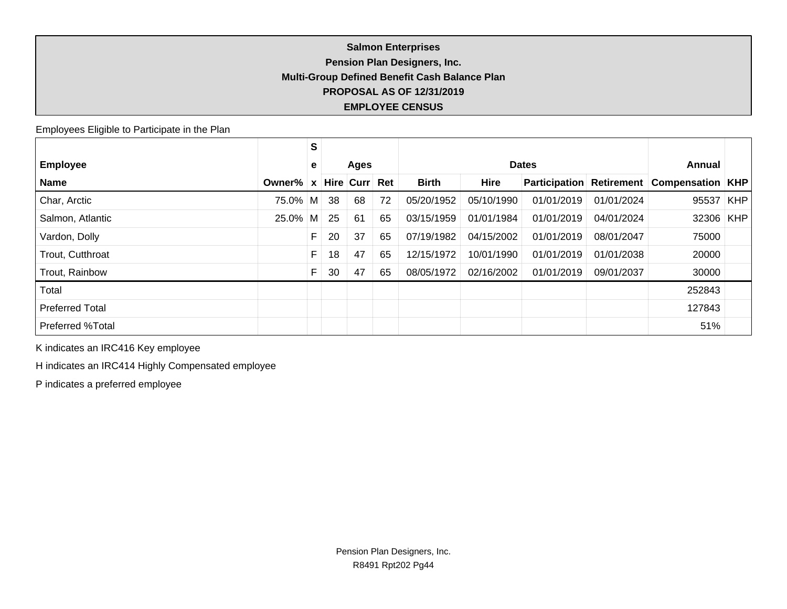## **Salmon Enterprises Pension Plan Designers, Inc. Multi-Group Defined Benefit Cash Balance Plan PROPOSAL AS OF 12/31/2019 EMPLOYEE CENSUS**

Employees Eligible to Participate in the Plan

|                        |          | S            |    |           |     |              |             |                      |            |                           |            |
|------------------------|----------|--------------|----|-----------|-----|--------------|-------------|----------------------|------------|---------------------------|------------|
| <b>Employee</b>        |          | e            |    | Ages      |     | <b>Dates</b> |             |                      |            | Annual                    |            |
| <b>Name</b>            | Owner%   | $\mathbf{x}$ |    | Hire Curr | Ret | <b>Birth</b> | <b>Hire</b> | <b>Participation</b> | Retirement | <b>Compensation   KHP</b> |            |
| Char, Arctic           | 75.0% M  |              | 38 | 68        | 72  | 05/20/1952   | 05/10/1990  | 01/01/2019           | 01/01/2024 | 95537                     | <b>KHP</b> |
| Salmon, Atlantic       | $25.0\%$ | M            | 25 | 61        | 65  | 03/15/1959   | 01/01/1984  | 01/01/2019           | 04/01/2024 | 32306 KHP                 |            |
| Vardon, Dolly          |          | F            | 20 | 37        | 65  | 07/19/1982   | 04/15/2002  | 01/01/2019           | 08/01/2047 | 75000                     |            |
| Trout, Cutthroat       |          | F            | 18 | 47        | 65  | 12/15/1972   | 10/01/1990  | 01/01/2019           | 01/01/2038 | 20000                     |            |
| Trout, Rainbow         |          |              | 30 | 47        | 65  | 08/05/1972   | 02/16/2002  | 01/01/2019           | 09/01/2037 | 30000                     |            |
| Total                  |          |              |    |           |     |              |             |                      |            | 252843                    |            |
| <b>Preferred Total</b> |          |              |    |           |     |              |             |                      |            | 127843                    |            |
| Preferred %Total       |          |              |    |           |     |              |             |                      |            | 51%                       |            |

K indicates an IRC416 Key employee

H indicates an IRC414 Highly Compensated employee

P indicates a preferred employee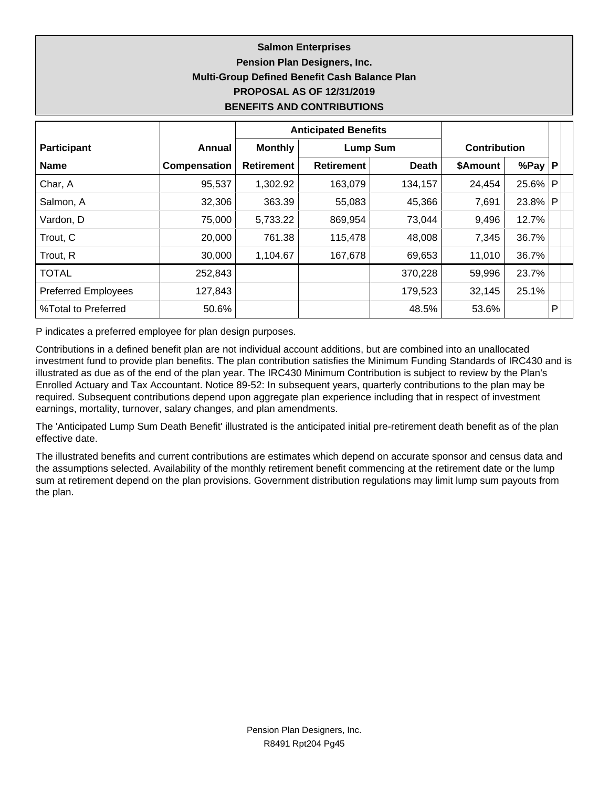## **Salmon Enterprises Pension Plan Designers, Inc. Multi-Group Defined Benefit Cash Balance Plan PROPOSAL AS OF 12/31/2019 BENEFITS AND CONTRIBUTIONS**

|                            |              |                   | <b>Anticipated Benefits</b> |              |                     |            |              |  |
|----------------------------|--------------|-------------------|-----------------------------|--------------|---------------------|------------|--------------|--|
| <b>Participant</b>         | Annual       | <b>Monthly</b>    | <b>Lump Sum</b>             |              | <b>Contribution</b> |            |              |  |
| <b>Name</b>                | Compensation | <b>Retirement</b> | <b>Retirement</b>           | <b>Death</b> | \$Amount            | %Pay $ P $ |              |  |
| Char, A                    | 95,537       | 1,302.92          | 163,079                     | 134,157      | 24,454              | 25.6%      | $\mathsf{P}$ |  |
| Salmon, A                  | 32,306       | 363.39            | 55,083                      | 45,366       | 7,691               | 23.8%      | l P          |  |
| Vardon, D                  | 75,000       | 5,733.22          | 869,954                     | 73,044       | 9,496               | 12.7%      |              |  |
| Trout, C                   | 20,000       | 761.38            | 115,478                     | 48,008       | 7,345               | 36.7%      |              |  |
| Trout, R                   | 30,000       | 1,104.67          | 167,678                     | 69,653       | 11,010              | 36.7%      |              |  |
| <b>TOTAL</b>               | 252,843      |                   |                             | 370,228      | 59,996              | 23.7%      |              |  |
| <b>Preferred Employees</b> | 127,843      |                   |                             | 179,523      | 32,145              | 25.1%      |              |  |
| %Total to Preferred        | 50.6%        |                   |                             | 48.5%        | 53.6%               |            | P            |  |

P indicates a preferred employee for plan design purposes.

Contributions in a defined benefit plan are not individual account additions, but are combined into an unallocated investment fund to provide plan benefits. The plan contribution satisfies the Minimum Funding Standards of IRC430 and is illustrated as due as of the end of the plan year. The IRC430 Minimum Contribution is subject to review by the Plan's Enrolled Actuary and Tax Accountant. Notice 89-52: In subsequent years, quarterly contributions to the plan may be required. Subsequent contributions depend upon aggregate plan experience including that in respect of investment earnings, mortality, turnover, salary changes, and plan amendments.

The 'Anticipated Lump Sum Death Benefit' illustrated is the anticipated initial pre-retirement death benefit as of the plan effective date.

The illustrated benefits and current contributions are estimates which depend on accurate sponsor and census data and the assumptions selected. Availability of the monthly retirement benefit commencing at the retirement date or the lump sum at retirement depend on the plan provisions. Government distribution regulations may limit lump sum payouts from the plan.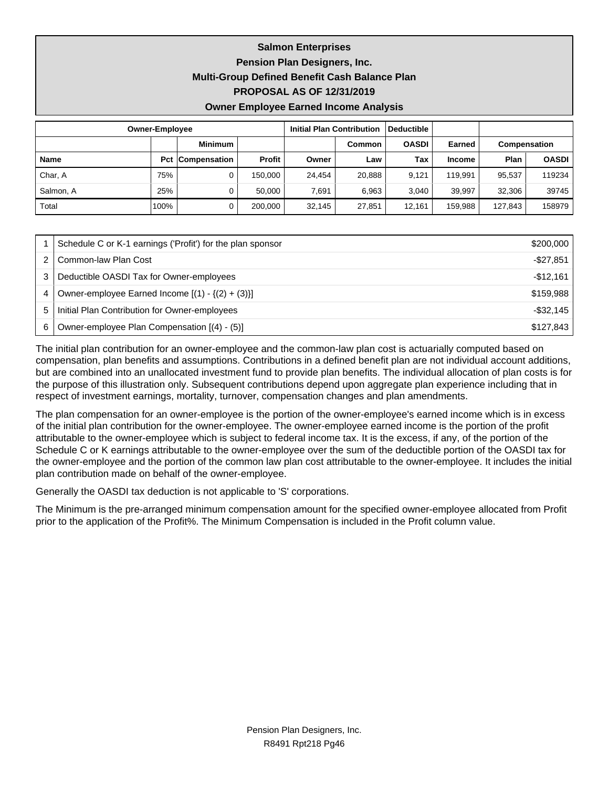**Salmon Enterprises Pension Plan Designers, Inc. Multi-Group Defined Benefit Cash Balance Plan**

**PROPOSAL AS OF 12/31/2019**

**Owner Employee Earned Income Analysis**

| <b>Owner-Employee</b> |      | <b>Initial Plan Contribution</b> |               | Deductible |        |              |               |              |              |
|-----------------------|------|----------------------------------|---------------|------------|--------|--------------|---------------|--------------|--------------|
|                       |      | <b>Minimum</b>                   |               |            | Common | <b>OASDI</b> | <b>Earned</b> | Compensation |              |
| Name                  |      | <b>Pct Compensation</b>          | <b>Profit</b> | Owner      | Law    | Tax          | <b>Income</b> | Plan         | <b>OASDI</b> |
| Char, A               | 75%  | 0                                | 150.000       | 24.454     | 20.888 | 9.121        | 119.991       | 95.537       | 119234       |
| Salmon, A             | 25%  |                                  | 50.000        | 7.691      | 6.963  | 3.040        | 39.997        | 32.306       | 39745        |
| Total                 | 100% |                                  | 200.000       | 32,145     | 27,851 | 12.161       | 159.988       | 127,843      | 158979       |

|   | Schedule C or K-1 earnings ('Profit') for the plan sponsor | \$200,000    |
|---|------------------------------------------------------------|--------------|
|   | Common-law Plan Cost                                       | -\$27,851    |
|   | Deductible OASDI Tax for Owner-employees                   | $-$12.161$   |
| 4 | Owner-employee Earned Income $[(1) - \{(2) + (3)\}]$       | \$159.988    |
| 5 | Initial Plan Contribution for Owner-employees              | $-$ \$32,145 |
| 6 | Owner-employee Plan Compensation [(4) - (5)]               | \$127,843    |

The initial plan contribution for an owner-employee and the common-law plan cost is actuarially computed based on compensation, plan benefits and assumptions. Contributions in a defined benefit plan are not individual account additions, but are combined into an unallocated investment fund to provide plan benefits. The individual allocation of plan costs is for the purpose of this illustration only. Subsequent contributions depend upon aggregate plan experience including that in respect of investment earnings, mortality, turnover, compensation changes and plan amendments.

The plan compensation for an owner-employee is the portion of the owner-employee's earned income which is in excess of the initial plan contribution for the owner-employee. The owner-employee earned income is the portion of the profit attributable to the owner-employee which is subject to federal income tax. It is the excess, if any, of the portion of the Schedule C or K earnings attributable to the owner-employee over the sum of the deductible portion of the OASDI tax for the owner-employee and the portion of the common law plan cost attributable to the owner-employee. It includes the initial plan contribution made on behalf of the owner-employee.

Generally the OASDI tax deduction is not applicable to 'S' corporations.

The Minimum is the pre-arranged minimum compensation amount for the specified owner-employee allocated from Profit prior to the application of the Profit%. The Minimum Compensation is included in the Profit column value.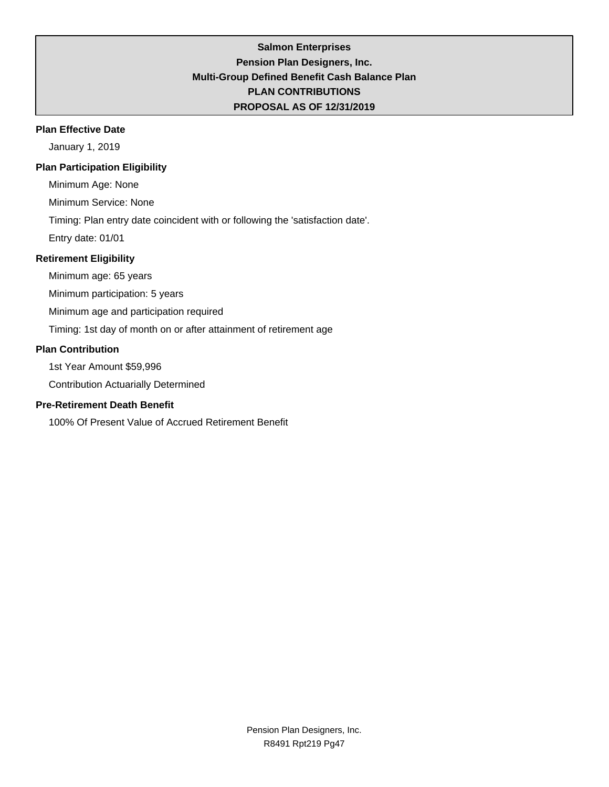## **Salmon Enterprises Pension Plan Designers, Inc. Multi-Group Defined Benefit Cash Balance Plan PLAN CONTRIBUTIONS PROPOSAL AS OF 12/31/2019**

### **Plan Effective Date**

January 1, 2019

## **Plan Participation Eligibility**

Minimum Age: None

Minimum Service: None

Timing: Plan entry date coincident with or following the 'satisfaction date'.

Entry date: 01/01

## **Retirement Eligibility**

Minimum age: 65 years

Minimum participation: 5 years

Minimum age and participation required

Timing: 1st day of month on or after attainment of retirement age

### **Plan Contribution**

1st Year Amount \$59,996

Contribution Actuarially Determined

## **Pre-Retirement Death Benefit**

100% Of Present Value of Accrued Retirement Benefit

Pension Plan Designers, Inc. R8491 Rpt219 Pg47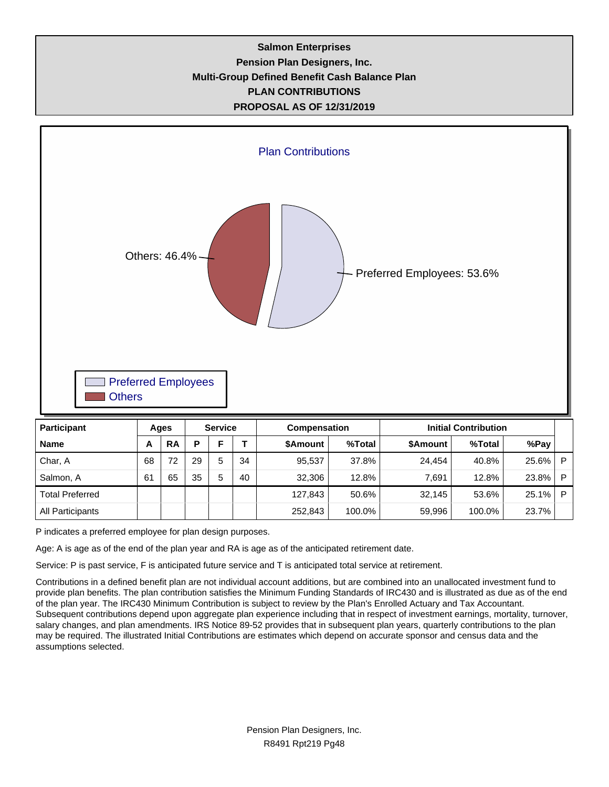## **Salmon Enterprises Pension Plan Designers, Inc. Multi-Group Defined Benefit Cash Balance Plan PLAN CONTRIBUTIONS PROPOSAL AS OF 12/31/2019**



| Total.<br>Preferred |  | .843<br>127<br>، د ، | 50.6%  | 32.145<br>JZ. | 53.6%  | 25.<br>1%       | - |
|---------------------|--|----------------------|--------|---------------|--------|-----------------|---|
| All Participants    |  | 252,843              | 100.0% | 59,996        | 100.0% | 7%<br>nn<br>، ت |   |

P indicates a preferred employee for plan design purposes.

Age: A is age as of the end of the plan year and RA is age as of the anticipated retirement date.

Service: P is past service, F is anticipated future service and T is anticipated total service at retirement.

Contributions in a defined benefit plan are not individual account additions, but are combined into an unallocated investment fund to provide plan benefits. The plan contribution satisfies the Minimum Funding Standards of IRC430 and is illustrated as due as of the end of the plan year. The IRC430 Minimum Contribution is subject to review by the Plan's Enrolled Actuary and Tax Accountant. Subsequent contributions depend upon aggregate plan experience including that in respect of investment earnings, mortality, turnover, salary changes, and plan amendments. IRS Notice 89-52 provides that in subsequent plan years, quarterly contributions to the plan may be required. The illustrated Initial Contributions are estimates which depend on accurate sponsor and census data and the assumptions selected.

Salmon, A | 61 | 65 | 35 | 5 | 40 | 32,306 | 12.8% | 7,691 | 12.8% | 23.8% | P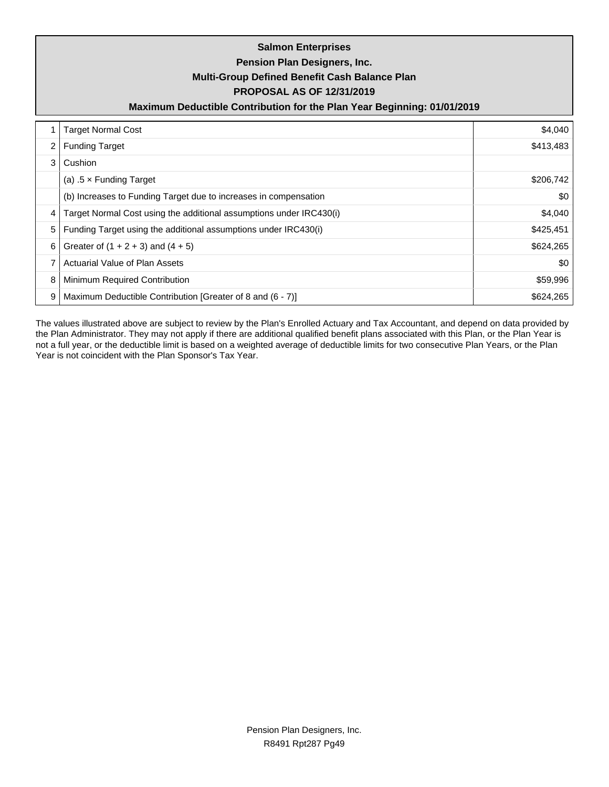| <b>Salmon Enterprises</b><br>Pension Plan Designers, Inc.<br>Multi-Group Defined Benefit Cash Balance Plan<br><b>PROPOSAL AS OF 12/31/2019</b><br>Maximum Deductible Contribution for the Plan Year Beginning: 01/01/2019 |                                                                     |           |  |  |  |  |
|---------------------------------------------------------------------------------------------------------------------------------------------------------------------------------------------------------------------------|---------------------------------------------------------------------|-----------|--|--|--|--|
|                                                                                                                                                                                                                           | <b>Target Normal Cost</b>                                           | \$4,040   |  |  |  |  |
| 2                                                                                                                                                                                                                         | <b>Funding Target</b>                                               | \$413,483 |  |  |  |  |
| 3                                                                                                                                                                                                                         | Cushion                                                             |           |  |  |  |  |
|                                                                                                                                                                                                                           | (a) $.5 \times$ Funding Target                                      | \$206,742 |  |  |  |  |
|                                                                                                                                                                                                                           | (b) Increases to Funding Target due to increases in compensation    | \$0       |  |  |  |  |
| 4                                                                                                                                                                                                                         | Target Normal Cost using the additional assumptions under IRC430(i) | \$4,040   |  |  |  |  |
| 5                                                                                                                                                                                                                         | Funding Target using the additional assumptions under IRC430(i)     | \$425,451 |  |  |  |  |
| 6                                                                                                                                                                                                                         | Greater of $(1 + 2 + 3)$ and $(4 + 5)$                              | \$624,265 |  |  |  |  |
| 7                                                                                                                                                                                                                         | Actuarial Value of Plan Assets                                      | \$0       |  |  |  |  |
| 8                                                                                                                                                                                                                         | Minimum Required Contribution                                       | \$59,996  |  |  |  |  |
| 9                                                                                                                                                                                                                         | Maximum Deductible Contribution [Greater of 8 and (6 - 7)]          | \$624,265 |  |  |  |  |

The values illustrated above are subject to review by the Plan's Enrolled Actuary and Tax Accountant, and depend on data provided by the Plan Administrator. They may not apply if there are additional qualified benefit plans associated with this Plan, or the Plan Year is not a full year, or the deductible limit is based on a weighted average of deductible limits for two consecutive Plan Years, or the Plan Year is not coincident with the Plan Sponsor's Tax Year.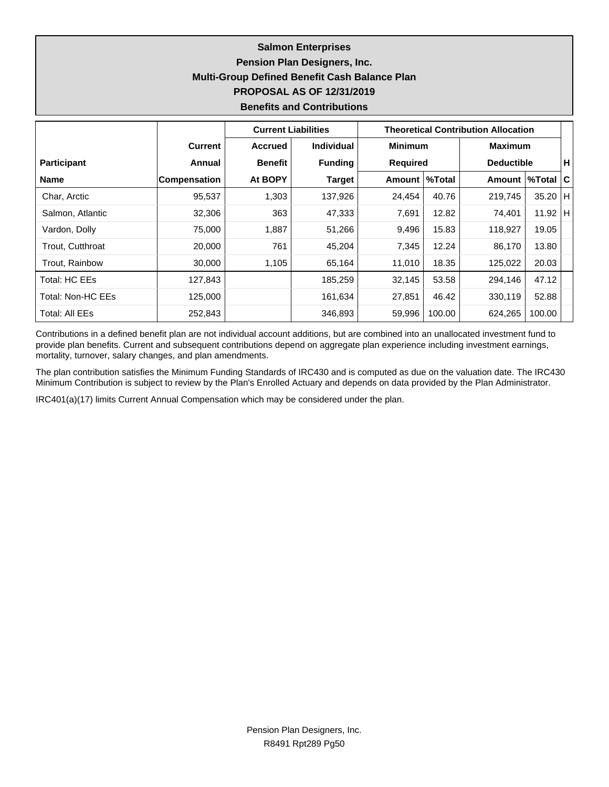## **Salmon Enterprises Pension Plan Designers, Inc. Multi-Group Defined Benefit Cash Balance Plan PROPOSAL AS OF 12/31/2019 Benefits and Contributions**

|                    |                     | <b>Current Liabilities</b> |                   | <b>Theoretical Contribution Allocation</b> |        |                   |           |     |
|--------------------|---------------------|----------------------------|-------------------|--------------------------------------------|--------|-------------------|-----------|-----|
|                    | <b>Current</b>      | <b>Accrued</b>             | <b>Individual</b> | <b>Minimum</b>                             |        | <b>Maximum</b>    |           |     |
| <b>Participant</b> | Annual              | <b>Benefit</b>             | <b>Funding</b>    | Required                                   |        | <b>Deductible</b> |           | н.  |
| <b>Name</b>        | <b>Compensation</b> | At BOPY                    | <b>Target</b>     | Amount   %Total                            |        | Amount            | ∣%Total I | ∣C⊦ |
| Char, Arctic       | 95,537              | 1,303                      | 137,926           | 24,454                                     | 40.76  | 219,745           | $35.20$ H |     |
| Salmon, Atlantic   | 32,306              | 363                        | 47,333            | 7,691                                      | 12.82  | 74,401            | 11.92   H |     |
| Vardon, Dolly      | 75,000              | 1,887                      | 51,266            | 9,496                                      | 15.83  | 118,927           | 19.05     |     |
| Trout, Cutthroat   | 20,000              | 761                        | 45,204            | 7,345                                      | 12.24  | 86,170            | 13.80     |     |
| Trout, Rainbow     | 30,000              | 1,105                      | 65,164            | 11,010                                     | 18.35  | 125,022           | 20.03     |     |
| Total: HC EEs      | 127,843             |                            | 185,259           | 32,145                                     | 53.58  | 294,146           | 47.12     |     |
| Total: Non-HC EEs  | 125,000             |                            | 161,634           | 27,851                                     | 46.42  | 330,119           | 52.88     |     |
| Total: All EEs     | 252,843             |                            | 346,893           | 59,996                                     | 100.00 | 624,265           | 100.00    |     |

Contributions in a defined benefit plan are not individual account additions, but are combined into an unallocated investment fund to provide plan benefits. Current and subsequent contributions depend on aggregate plan experience including investment earnings, mortality, turnover, salary changes, and plan amendments.

The plan contribution satisfies the Minimum Funding Standards of IRC430 and is computed as due on the valuation date. The IRC430 Minimum Contribution is subject to review by the Plan's Enrolled Actuary and depends on data provided by the Plan Administrator.

IRC401(a)(17) limits Current Annual Compensation which may be considered under the plan.

Pension Plan Designers, Inc. R8491 Rpt289 Pg50